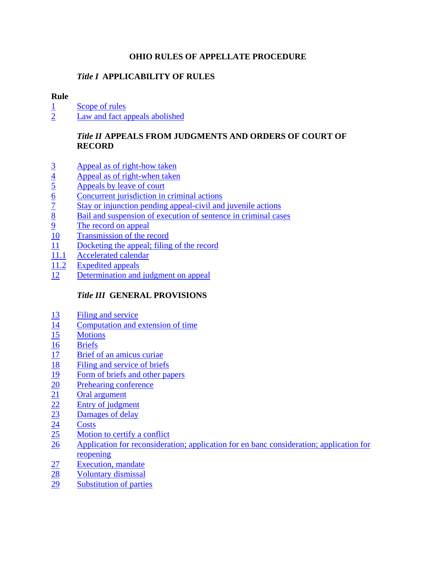# **OHIO RULES OF APPELLATE PROCEDURE**

# *Title I* **APPLICABILITY OF RULES**

# **Rule**

- 
- 1 [Scope of rules](#page-2-0)<br>2 Law and fact a [Law and fact appeals abolished](#page-3-0)

# *Title II* **APPEALS FROM JUDGMENTS AND ORDERS OF COURT OF RECORD**

- 
- [Appeal as of right-when taken](#page-8-0)
- 5 [Appeals by leave of court](#page-13-0)
- 6 [Concurrent jurisdiction in criminal actions](#page-17-0)
- [Stay or injunction pending appeal-civil and juvenile actions](#page-18-0)
- $\frac{3}{4}$  [Appeal as of right-how taken](#page-4-0)<br>  $\frac{4}{5}$  Appeals by leave of court<br>  $\frac{6}{5}$  Concurrent jurisdiction in criterial<br>  $\frac{7}{8}$  Stay or injunction pending ap<br>  $\frac{8}{9}$  Bail and suspension of execut<br>  $\frac{9}{8}$  The 8 [Bail and suspension of execution of sentence in criminal cases](#page-20-0)
- <u>9</u> [The record on appeal](#page-21-0)<br>10 Transmission of the re
- [Transmission of the](#page-26-0) record
- 11 [Docketing the appeal; filing of the record](#page-29-0)
- 11.1 [Accelerated calendar](#page-30-0)
- 11.2 [Expedited appeals](#page-32-0)
- 12 [Determination and judgment on appeal](#page-36-0)

# *Title III* **GENERAL PROVISIONS**

- 13 [Filing and service](#page-38-0)
- 14 [Computation and extension of time](#page-41-0)<br>15 Motions
- 15 [Motions](#page-42-0)<br>16 Briefs
- **[Briefs](#page-43-0)**
- 17 [Brief of an amicus curiae](#page-45-0)<br>18 Filing and service of brief
- 18 [Filing and service of briefs](#page-46-0)<br>19 Form of briefs and other pa
- 19 [Form of briefs and other papers](#page-47-0)<br>20 Prehearing conference
- 20 [Prehearing conference](#page-49-0)<br>21 Oral argument
- 
- $\frac{21}{22}$  [Oral argument](#page-50-0)<br>Entry of judgm 22 [Entry of judgment](#page-52-0)<br>
23 Damages of delay<br>
24 Costs
- [Damages of delay](#page-53-0)
- 
- $\frac{24}{25}$  [Costs](#page-54-0) [Motion to certify a conflict](#page-55-0)
- 26 Application for reconsideration; application for en banc consideration; application for [reopening](#page-56-0)
- 27 [Execution, mandate](#page-61-0)<br>28 Voluntary dismissal
- 28 [Voluntary dismissal](#page-62-0)<br>29 Substitution of partie
- **[Substitution of parties](#page-63-0)**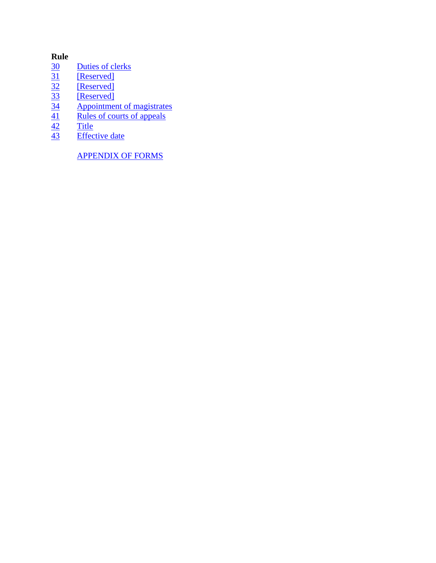- 30 [Duties of clerks](#page-64-0)
- 31 [\[Reserved\]](#page-65-0)
- [\[Reserved\]](#page-65-0)
- 33 [\[Reserved\]](#page-65-0)
- **Rule**<br> $\frac{30}{31}$ <br> $\frac{32}{33}$ <br> $\frac{33}{34}$ <br> $\frac{41}{42}$ <br> $\frac{42}{3}$ 34 [Appointment of magistrates](#page-66-0)
- 41 [Rules of courts of appeals](#page-68-0)
- [Title](#page-69-0)
- [Effective date](#page-70-0)

[APPENDIX OF FORMS](#page-76-0)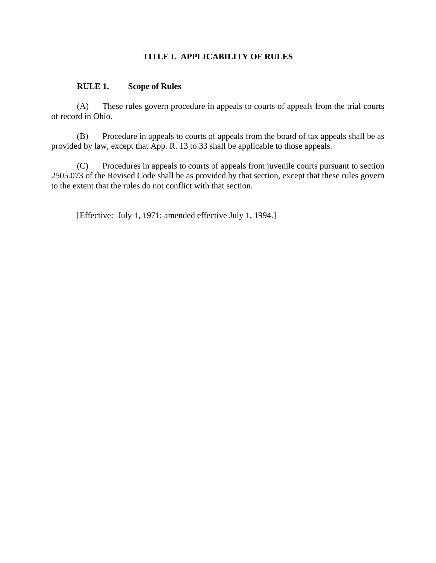# **TITLE I. APPLICABILITY OF RULES**

# <span id="page-2-0"></span>**RULE 1. Scope of Rules**

(A) These rules govern procedure in appeals to courts of appeals from the trial courts of record in Ohio.

(B) Procedure in appeals to courts of appeals from the board of tax appeals shall be as provided by law, except that App. R. 13 to 33 shall be applicable to those appeals.

(C) Procedures in appeals to courts of appeals from juvenile courts pursuant to section 2505.073 of the Revised Code shall be as provided by that section, except that these rules govern to the extent that the rules do not conflict with that section.

[Effective: July 1, 1971; amended effective July 1, 1994.]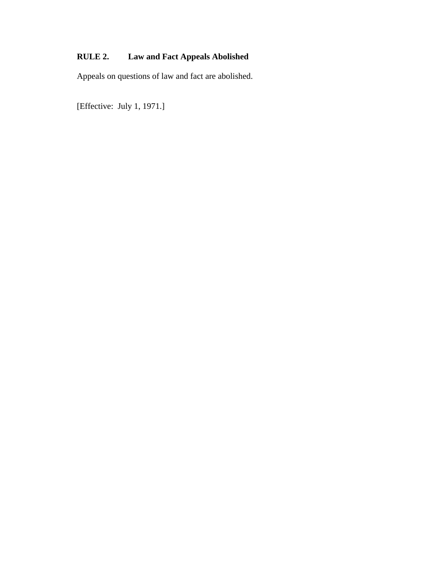# <span id="page-3-0"></span>**RULE 2. Law and Fact Appeals Abolished**

Appeals on questions of law and fact are abolished.

[Effective: July 1, 1971.]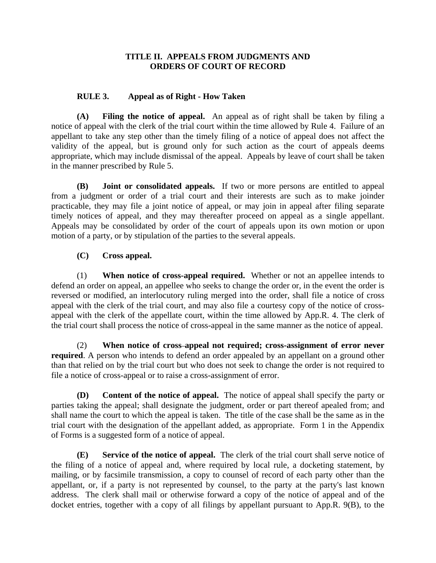# **TITLE II. APPEALS FROM JUDGMENTS AND ORDERS OF COURT OF RECORD**

# <span id="page-4-0"></span>**RULE 3. Appeal as of Right - How Taken**

**(A) Filing the notice of appeal.** An appeal as of right shall be taken by filing a notice of appeal with the clerk of the trial court within the time allowed by Rule 4. Failure of an appellant to take any step other than the timely filing of a notice of appeal does not affect the validity of the appeal, but is ground only for such action as the court of appeals deems appropriate, which may include dismissal of the appeal. Appeals by leave of court shall be taken in the manner prescribed by Rule 5.

**(B) Joint or consolidated appeals.** If two or more persons are entitled to appeal from a judgment or order of a trial court and their interests are such as to make joinder practicable, they may file a joint notice of appeal, or may join in appeal after filing separate timely notices of appeal, and they may thereafter proceed on appeal as a single appellant. Appeals may be consolidated by order of the court of appeals upon its own motion or upon motion of a party, or by stipulation of the parties to the several appeals.

## **(C) Cross appeal.**

(1) **When notice of cross-appeal required.** Whether or not an appellee intends to defend an order on appeal, an appellee who seeks to change the order or, in the event the order is reversed or modified, an interlocutory ruling merged into the order, shall file a notice of cross appeal with the clerk of the trial court, and may also file a courtesy copy of the notice of crossappeal with the clerk of the appellate court, within the time allowed by App.R. 4. The clerk of the trial court shall process the notice of cross-appeal in the same manner as the notice of appeal.

(2) **When notice of cross appeal not required; cross-assignment of error never required**. A person who intends to defend an order appealed by an appellant on a ground other than that relied on by the trial court but who does not seek to change the order is not required to file a notice of cross-appeal or to raise a cross-assignment of error.

**(D) Content of the notice of appeal.** The notice of appeal shall specify the party or parties taking the appeal; shall designate the judgment, order or part thereof apealed from; and shall name the court to which the appeal is taken. The title of the case shall be the same as in the trial court with the designation of the appellant added, as appropriate. Form 1 in the Appendix of Forms is a suggested form of a notice of appeal.

**(E) Service of the notice of appeal.** The clerk of the trial court shall serve notice of the filing of a notice of appeal and, where required by local rule, a docketing statement, by mailing, or by facsimile transmission, a copy to counsel of record of each party other than the appellant, or, if a party is not represented by counsel, to the party at the party's last known address. The clerk shall mail or otherwise forward a copy of the notice of appeal and of the docket entries, together with a copy of all filings by appellant pursuant to App.R. 9(B), to the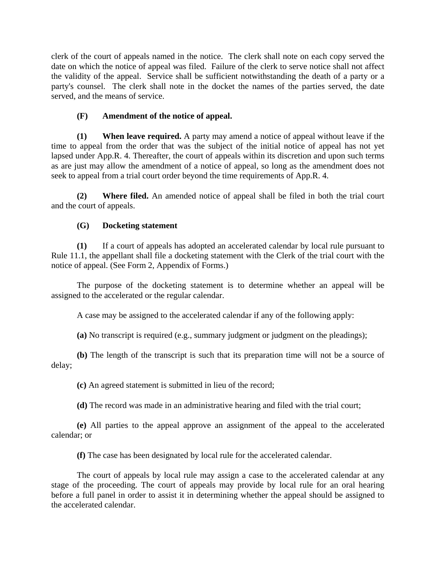clerk of the court of appeals named in the notice. The clerk shall note on each copy served the date on which the notice of appeal was filed. Failure of the clerk to serve notice shall not affect the validity of the appeal. Service shall be sufficient notwithstanding the death of a party or a party's counsel. The clerk shall note in the docket the names of the parties served, the date served, and the means of service.

# **(F) Amendment of the notice of appeal.**

**(1) When leave required.** A party may amend a notice of appeal without leave if the time to appeal from the order that was the subject of the initial notice of appeal has not yet lapsed under App.R. 4. Thereafter, the court of appeals within its discretion and upon such terms as are just may allow the amendment of a notice of appeal, so long as the amendment does not seek to appeal from a trial court order beyond the time requirements of App.R. 4.

**(2) Where filed.** An amended notice of appeal shall be filed in both the trial court and the court of appeals.

# **(G) Docketing statement**

**(1)** If a court of appeals has adopted an accelerated calendar by local rule pursuant to Rule 11.1, the appellant shall file a docketing statement with the Clerk of the trial court with the notice of appeal. (See Form 2, Appendix of Forms.)

The purpose of the docketing statement is to determine whether an appeal will be assigned to the accelerated or the regular calendar.

A case may be assigned to the accelerated calendar if any of the following apply:

**(a)** No transcript is required (e.g., summary judgment or judgment on the pleadings);

**(b)** The length of the transcript is such that its preparation time will not be a source of delay;

**(c)** An agreed statement is submitted in lieu of the record;

**(d)** The record was made in an administrative hearing and filed with the trial court;

**(e)** All parties to the appeal approve an assignment of the appeal to the accelerated calendar; or

**(f)** The case has been designated by local rule for the accelerated calendar.

The court of appeals by local rule may assign a case to the accelerated calendar at any stage of the proceeding. The court of appeals may provide by local rule for an oral hearing before a full panel in order to assist it in determining whether the appeal should be assigned to the accelerated calendar.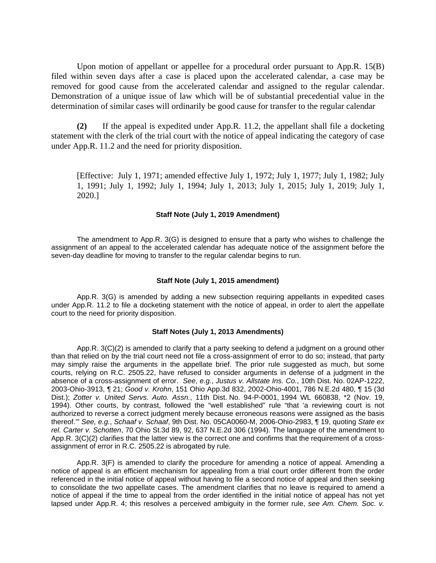Upon motion of appellant or appellee for a procedural order pursuant to App.R. 15(B) filed within seven days after a case is placed upon the accelerated calendar, a case may be removed for good cause from the accelerated calendar and assigned to the regular calendar. Demonstration of a unique issue of law which will be of substantial precedential value in the determination of similar cases will ordinarily be good cause for transfer to the regular calendar

**(2)** If the appeal is expedited under App.R. 11.2, the appellant shall file a docketing statement with the clerk of the trial court with the notice of appeal indicating the category of case under App.R. 11.2 and the need for priority disposition.

[Effective: July 1, 1971; amended effective July 1, 1972; July 1, 1977; July 1, 1982; July 1, 1991; July 1, 1992; July 1, 1994; July 1, 2013; July 1, 2015; July 1, 2019; July 1, 2020.]

#### **Staff Note (July 1, 2019 Amendment)**

The amendment to App.R. 3(G) is designed to ensure that a party who wishes to challenge the assignment of an appeal to the accelerated calendar has adequate notice of the assignment before the seven-day deadline for moving to transfer to the regular calendar begins to run.

#### **Staff Note (July 1, 2015 amendment)**

App.R. 3(G) is amended by adding a new subsection requiring appellants in expedited cases under App.R. 11.2 to file a docketing statement with the notice of appeal, in order to alert the appellate court to the need for priority disposition.

## **Staff Notes (July 1, 2013 Amendments)**

App.R. 3(C)(2) is amended to clarify that a party seeking to defend a judgment on a ground other than that relied on by the trial court need not file a cross-assignment of error to do so; instead, that party may simply raise the arguments in the appellate brief. The prior rule suggested as much, but some courts, relying on R.C. 2505.22, have refused to consider arguments in defense of a judgment in the absence of a cross-assignment of error. *See*, *e.g.*, *Justus v. Allstate Ins. Co.*, 10th Dist. No. 02AP-1222, 2003-Ohio-3913, ¶ 21; *Good v. Krohn*, 151 Ohio App.3d 832, 2002-Ohio-4001, 786 N.E.2d 480, ¶ 15 (3d Dist.); *Zotter v. United Servs. Auto. Assn.*, 11th Dist. No. 94-P-0001, 1994 WL 660838, \*2 (Nov. 19, 1994). Other courts, by contrast, followed the "well established" rule "that 'a reviewing court is not authorized to reverse a correct judgment merely because erroneous reasons were assigned as the basis thereof.'" *See, e.g.*, *Schaaf v. Schaaf*, 9th Dist. No. 05CA0060-M, 2006-Ohio-2983, ¶ 19, quoting *State ex rel. Carter v. Schotten*, 70 Ohio St.3d 89, 92, 637 N.E.2d 306 (1994). The language of the amendment to App.R. 3(C)(2) clarifies that the latter view is the correct one and confirms that the requirement of a crossassignment of error in R.C. 2505.22 is abrogated by rule.

App.R. 3(F) is amended to clarify the procedure for amending a notice of appeal. Amending a notice of appeal is an efficient mechanism for appealing from a trial court order different from the order referenced in the initial notice of appeal without having to file a second notice of appeal and then seeking to consolidate the two appellate cases. The amendment clarifies that no leave is required to amend a notice of appeal if the time to appeal from the order identified in the initial notice of appeal has not yet lapsed under App.R. 4; this resolves a perceived ambiguity in the former rule, *see Am. Chem. Soc. v.*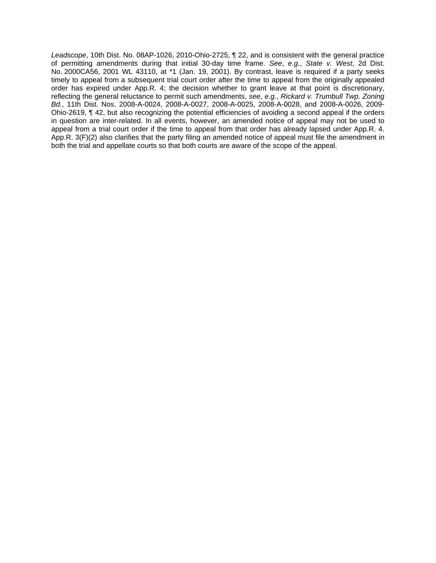*Leadscope*, 10th Dist. No. 08AP-1026, 2010-Ohio-2725, ¶ 22, and is consistent with the general practice of permitting amendments during that initial 30-day time frame. *See*, *e.g.*, *State v. West*, 2d Dist. No. 2000CA56, 2001 WL 43110, at \*1 (Jan. 19, 2001). By contrast, leave is required if a party seeks timely to appeal from a subsequent trial court order after the time to appeal from the originally appealed order has expired under App.R. 4; the decision whether to grant leave at that point is discretionary, reflecting the general reluctance to permit such amendments, *see*, *e.g.*, *Rickard v. Trumbull Twp. Zoning Bd.*, 11th Dist. Nos. 2008-A-0024, 2008-A-0027, 2008-A-0025, 2008-A-0028, and 2008-A-0026, 2009- Ohio-2619, ¶ 42, but also recognizing the potential efficiencies of avoiding a second appeal if the orders in question are inter-related. In all events, however, an amended notice of appeal may not be used to appeal from a trial court order if the time to appeal from that order has already lapsed under App.R. 4. App.R. 3(F)(2) also clarifies that the party filing an amended notice of appeal must file the amendment in both the trial and appellate courts so that both courts are aware of the scope of the appeal.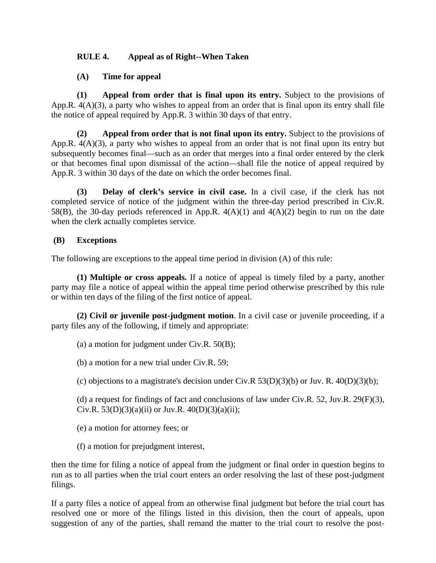# <span id="page-8-0"></span>**RULE 4. Appeal as of Right--When Taken**

# **(A) Time for appeal**

**(1) Appeal from order that is final upon its entry.** Subject to the provisions of App.R. 4(A)(3), a party who wishes to appeal from an order that is final upon its entry shall file the notice of appeal required by App.R. 3 within 30 days of that entry.

**(2) Appeal from order that is not final upon its entry.** Subject to the provisions of App.R. 4(A)(3), a party who wishes to appeal from an order that is not final upon its entry but subsequently becomes final—such as an order that merges into a final order entered by the clerk or that becomes final upon dismissal of the action—shall file the notice of appeal required by App.R. 3 within 30 days of the date on which the order becomes final.

**(3) Delay of clerk's service in civil case.** In a civil case, if the clerk has not completed service of notice of the judgment within the three-day period prescribed in Civ.R. 58(B), the 30-day periods referenced in App.R.  $4(A)(1)$  and  $4(A)(2)$  begin to run on the date when the clerk actually completes service.

## **(B) Exceptions**

The following are exceptions to the appeal time period in division (A) of this rule:

**(1) Multiple or cross appeals.** If a notice of appeal is timely filed by a party, another party may file a notice of appeal within the appeal time period otherwise prescribed by this rule or within ten days of the filing of the first notice of appeal.

**(2) Civil or juvenile post-judgment motion**. In a civil case or juvenile proceeding, if a party files any of the following, if timely and appropriate:

(a) a motion for judgment under Civ.R. 50(B);

(b) a motion for a new trial under Civ.R. 59;

(c) objections to a magistrate's decision under Civ.R  $53(D)(3)(b)$  or Juv. R.  $40(D)(3)(b)$ ;

(d) a request for findings of fact and conclusions of law under Civ.R. 52, Juv.R. 29 $(F)(3)$ , Civ.R.  $53(D)(3)(a)(ii)$  or Juv.R.  $40(D)(3)(a)(ii)$ ;

(e) a motion for attorney fees; or

(f) a motion for prejudgment interest,

then the time for filing a notice of appeal from the judgment or final order in question begins to run as to all parties when the trial court enters an order resolving the last of these post-judgment filings.

If a party files a notice of appeal from an otherwise final judgment but before the trial court has resolved one or more of the filings listed in this division, then the court of appeals, upon suggestion of any of the parties, shall remand the matter to the trial court to resolve the post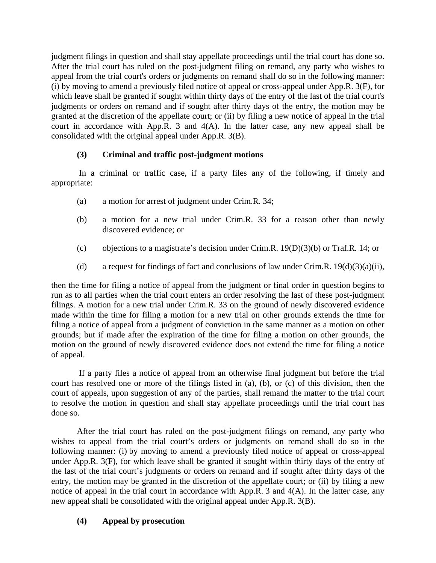judgment filings in question and shall stay appellate proceedings until the trial court has done so. After the trial court has ruled on the post-judgment filing on remand, any party who wishes to appeal from the trial court's orders or judgments on remand shall do so in the following manner: (i) by moving to amend a previously filed notice of appeal or cross-appeal under App.R. 3(F), for which leave shall be granted if sought within thirty days of the entry of the last of the trial court's judgments or orders on remand and if sought after thirty days of the entry, the motion may be granted at the discretion of the appellate court; or (ii) by filing a new notice of appeal in the trial court in accordance with App.R. 3 and 4(A). In the latter case, any new appeal shall be consolidated with the original appeal under App.R. 3(B).

# **(3) Criminal and traffic post-judgment motions**

In a criminal or traffic case, if a party files any of the following, if timely and appropriate:

- (a) a motion for arrest of judgment under Crim.R. 34;
- (b) a motion for a new trial under Crim.R. 33 for a reason other than newly discovered evidence; or
- (c) objections to a magistrate's decision under Crim.R. 19(D)(3)(b) or Traf.R. 14; or
- (d) a request for findings of fact and conclusions of law under Crim.R.  $19(d)(3)(a)(ii)$ ,

then the time for filing a notice of appeal from the judgment or final order in question begins to run as to all parties when the trial court enters an order resolving the last of these post-judgment filings. A motion for a new trial under Crim.R. 33 on the ground of newly discovered evidence made within the time for filing a motion for a new trial on other grounds extends the time for filing a notice of appeal from a judgment of conviction in the same manner as a motion on other grounds; but if made after the expiration of the time for filing a motion on other grounds, the motion on the ground of newly discovered evidence does not extend the time for filing a notice of appeal.

If a party files a notice of appeal from an otherwise final judgment but before the trial court has resolved one or more of the filings listed in (a), (b), or (c) of this division, then the court of appeals, upon suggestion of any of the parties, shall remand the matter to the trial court to resolve the motion in question and shall stay appellate proceedings until the trial court has done so.

After the trial court has ruled on the post-judgment filings on remand, any party who wishes to appeal from the trial court's orders or judgments on remand shall do so in the following manner: (i) by moving to amend a previously filed notice of appeal or cross-appeal under App.R. 3(F), for which leave shall be granted if sought within thirty days of the entry of the last of the trial court's judgments or orders on remand and if sought after thirty days of the entry, the motion may be granted in the discretion of the appellate court; or (ii) by filing a new notice of appeal in the trial court in accordance with App.R. 3 and 4(A). In the latter case, any new appeal shall be consolidated with the original appeal under App.R. 3(B).

# **(4) Appeal by prosecution**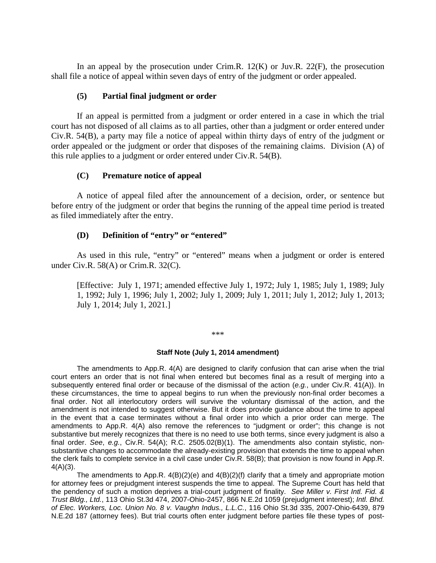In an appeal by the prosecution under Crim.R.  $12(K)$  or Juv.R.  $22(F)$ , the prosecution shall file a notice of appeal within seven days of entry of the judgment or order appealed.

## **(5) Partial final judgment or order**

If an appeal is permitted from a judgment or order entered in a case in which the trial court has not disposed of all claims as to all parties, other than a judgment or order entered under Civ.R. 54(B), a party may file a notice of appeal within thirty days of entry of the judgment or order appealed or the judgment or order that disposes of the remaining claims. Division (A) of this rule applies to a judgment or order entered under Civ.R. 54(B).

## **(C) Premature notice of appeal**

A notice of appeal filed after the announcement of a decision, order, or sentence but before entry of the judgment or order that begins the running of the appeal time period is treated as filed immediately after the entry.

## **(D) Definition of "entry" or "entered"**

As used in this rule, "entry" or "entered" means when a judgment or order is entered under Civ.R. 58(A) or Crim.R. 32(C).

[Effective: July 1, 1971; amended effective July 1, 1972; July 1, 1985; July 1, 1989; July 1, 1992; July 1, 1996; July 1, 2002; July 1, 2009; July 1, 2011; July 1, 2012; July 1, 2013; July 1, 2014; July 1, 2021.]

\*\*\*

## **Staff Note (July 1, 2014 amendment)**

The amendments to App.R. 4(A) are designed to clarify confusion that can arise when the trial court enters an order that is not final when entered but becomes final as a result of merging into a subsequently entered final order or because of the dismissal of the action (*e.g.*, under Civ.R. 41(A)). In these circumstances, the time to appeal begins to run when the previously non-final order becomes a final order. Not all interlocutory orders will survive the voluntary dismissal of the action, and the amendment is not intended to suggest otherwise. But it does provide guidance about the time to appeal in the event that a case terminates without a final order into which a prior order can merge. The amendments to App.R. 4(A) also remove the references to "judgment or order"; this change is not substantive but merely recognizes that there is no need to use both terms, since every judgment is also a final order. *See*, *e.g.*, Civ.R. 54(A); R.C. 2505.02(B)(1). The amendments also contain stylistic, nonsubstantive changes to accommodate the already-existing provision that extends the time to appeal when the clerk fails to complete service in a civil case under Civ.R. 58(B); that provision is now found in App.R.  $4(A)(3)$ .

The amendments to App.R. 4(B)(2)(e) and 4(B)(2)(f) clarify that a timely and appropriate motion for attorney fees or prejudgment interest suspends the time to appeal. The Supreme Court has held that the pendency of such a motion deprives a trial-court judgment of finality. *See Miller v. First Intl. Fid. & Trust Bldg., Ltd.*, 113 Ohio St.3d 474, 2007-Ohio-2457, 866 N.E.2d 1059 (prejudgment interest); *Intl. Bhd. of Elec. Workers, Loc. Union No. 8 v. Vaughn Indus., L.L.C.*, 116 Ohio St.3d 335, 2007-Ohio-6439, 879 N.E.2d 187 (attorney fees). But trial courts often enter judgment before parties file these types of post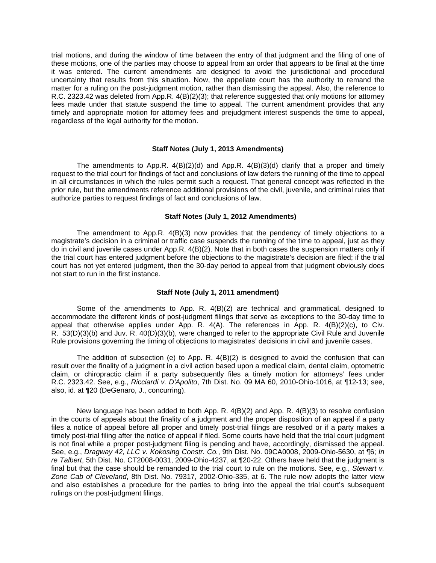trial motions, and during the window of time between the entry of that judgment and the filing of one of these motions, one of the parties may choose to appeal from an order that appears to be final at the time it was entered. The current amendments are designed to avoid the jurisdictional and procedural uncertainty that results from this situation. Now, the appellate court has the authority to remand the matter for a ruling on the post-judgment motion, rather than dismissing the appeal. Also, the reference to R.C. 2323.42 was deleted from App.R. 4(B)(2)(3); that reference suggested that only motions for attorney fees made under that statute suspend the time to appeal. The current amendment provides that any timely and appropriate motion for attorney fees and prejudgment interest suspends the time to appeal, regardless of the legal authority for the motion.

## **Staff Notes (July 1, 2013 Amendments)**

The amendments to App.R.  $4(B)(2)(d)$  and App.R.  $4(B)(3)(d)$  clarify that a proper and timely request to the trial court for findings of fact and conclusions of law defers the running of the time to appeal in all circumstances in which the rules permit such a request. That general concept was reflected in the prior rule, but the amendments reference additional provisions of the civil, juvenile, and criminal rules that authorize parties to request findings of fact and conclusions of law.

## **Staff Notes (July 1, 2012 Amendments)**

The amendment to App.R. 4(B)(3) now provides that the pendency of timely objections to a magistrate's decision in a criminal or traffic case suspends the running of the time to appeal, just as they do in civil and juvenile cases under App.R. 4(B)(2). Note that in both cases the suspension matters only if the trial court has entered judgment before the objections to the magistrate's decision are filed; if the trial court has not yet entered judgment, then the 30-day period to appeal from that judgment obviously does not start to run in the first instance.

#### **Staff Note (July 1, 2011 amendment)**

Some of the amendments to App. R. 4(B)(2) are technical and grammatical, designed to accommodate the different kinds of post-judgment filings that serve as exceptions to the 30-day time to appeal that otherwise applies under App. R. 4(A). The references in App. R. 4(B)(2)(c), to Civ. R. 53(D)(3)(b) and Juv. R. 40(D)(3)(b), were changed to refer to the appropriate Civil Rule and Juvenile Rule provisions governing the timing of objections to magistrates' decisions in civil and juvenile cases.

The addition of subsection (e) to App. R.  $4(B)(2)$  is designed to avoid the confusion that can result over the finality of a judgment in a civil action based upon a medical claim, dental claim, optometric claim, or chiropractic claim if a party subsequently files a timely motion for attorneys' fees under R.C. 2323.42. See, e.g., *Ricciardi v. D'Apolito*, 7th Dist. No. 09 MA 60, 2010-Ohio-1016, at ¶12-13; see, also, id. at ¶20 (DeGenaro, J., concurring).

New language has been added to both App. R. 4(B)(2) and App. R. 4(B)(3) to resolve confusion in the courts of appeals about the finality of a judgment and the proper disposition of an appeal if a party files a notice of appeal before all proper and timely post-trial filings are resolved or if a party makes a timely post-trial filing after the notice of appeal if filed. Some courts have held that the trial court judgment is not final while a proper post-judgment filing is pending and have, accordingly, dismissed the appeal. See, e.g., *Dragway 42, LLC v. Kokosing Constr. Co.*, 9th Dist. No. 09CA0008, 2009-Ohio-5630, at ¶6; *In re Talbert*, 5th Dist. No. CT2008-0031, 2009-Ohio-4237, at ¶20-22. Others have held that the judgment is final but that the case should be remanded to the trial court to rule on the motions. See, e.g., *Stewart v. Zone Cab of Cleveland*, 8th Dist. No. 79317, 2002-Ohio-335, at 6. The rule now adopts the latter view and also establishes a procedure for the parties to bring into the appeal the trial court's subsequent rulings on the post-judgment filings.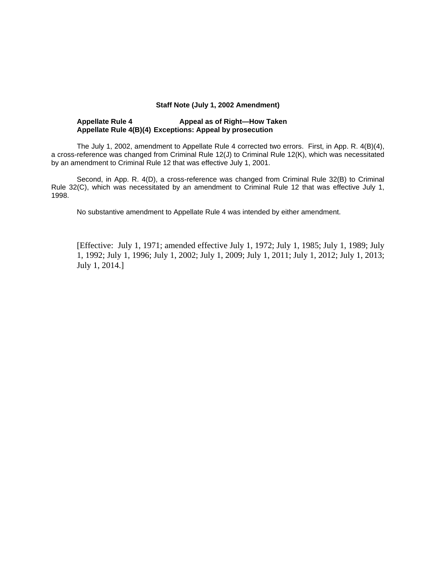## **Staff Note (July 1, 2002 Amendment)**

## **Appellate Rule 4 Appeal as of Right—How Taken Appellate Rule 4(B)(4) Exceptions: Appeal by prosecution**

The July 1, 2002, amendment to Appellate Rule 4 corrected two errors. First, in App. R. 4(B)(4), a cross-reference was changed from Criminal Rule 12(J) to Criminal Rule 12(K), which was necessitated by an amendment to Criminal Rule 12 that was effective July 1, 2001.

Second, in App. R. 4(D), a cross-reference was changed from Criminal Rule 32(B) to Criminal Rule 32(C), which was necessitated by an amendment to Criminal Rule 12 that was effective July 1, 1998.

No substantive amendment to Appellate Rule 4 was intended by either amendment.

[Effective: July 1, 1971; amended effective July 1, 1972; July 1, 1985; July 1, 1989; July 1, 1992; July 1, 1996; July 1, 2002; July 1, 2009; July 1, 2011; July 1, 2012; July 1, 2013; July 1, 2014.]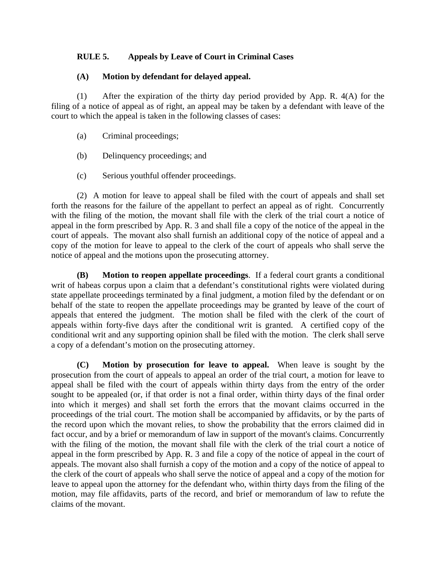# <span id="page-13-0"></span>**RULE 5. Appeals by Leave of Court in Criminal Cases**

## **(A) Motion by defendant for delayed appeal.**

(1) After the expiration of the thirty day period provided by App. R. 4(A) for the filing of a notice of appeal as of right, an appeal may be taken by a defendant with leave of the court to which the appeal is taken in the following classes of cases:

- (a) Criminal proceedings;
- (b) Delinquency proceedings; and
- (c) Serious youthful offender proceedings.

(2) A motion for leave to appeal shall be filed with the court of appeals and shall set forth the reasons for the failure of the appellant to perfect an appeal as of right. Concurrently with the filing of the motion, the movant shall file with the clerk of the trial court a notice of appeal in the form prescribed by App. R. 3 and shall file a copy of the notice of the appeal in the court of appeals. The movant also shall furnish an additional copy of the notice of appeal and a copy of the motion for leave to appeal to the clerk of the court of appeals who shall serve the notice of appeal and the motions upon the prosecuting attorney.

**(B) Motion to reopen appellate proceedings**. If a federal court grants a conditional writ of habeas corpus upon a claim that a defendant's constitutional rights were violated during state appellate proceedings terminated by a final judgment, a motion filed by the defendant or on behalf of the state to reopen the appellate proceedings may be granted by leave of the court of appeals that entered the judgment. The motion shall be filed with the clerk of the court of appeals within forty-five days after the conditional writ is granted. A certified copy of the conditional writ and any supporting opinion shall be filed with the motion. The clerk shall serve a copy of a defendant's motion on the prosecuting attorney.

**(C) Motion by prosecution for leave to appeal.** When leave is sought by the prosecution from the court of appeals to appeal an order of the trial court, a motion for leave to appeal shall be filed with the court of appeals within thirty days from the entry of the order sought to be appealed (or, if that order is not a final order, within thirty days of the final order into which it merges) and shall set forth the errors that the movant claims occurred in the proceedings of the trial court. The motion shall be accompanied by affidavits, or by the parts of the record upon which the movant relies, to show the probability that the errors claimed did in fact occur, and by a brief or memorandum of law in support of the movant's claims. Concurrently with the filing of the motion, the movant shall file with the clerk of the trial court a notice of appeal in the form prescribed by App. R. 3 and file a copy of the notice of appeal in the court of appeals. The movant also shall furnish a copy of the motion and a copy of the notice of appeal to the clerk of the court of appeals who shall serve the notice of appeal and a copy of the motion for leave to appeal upon the attorney for the defendant who, within thirty days from the filing of the motion, may file affidavits, parts of the record, and brief or memorandum of law to refute the claims of the movant.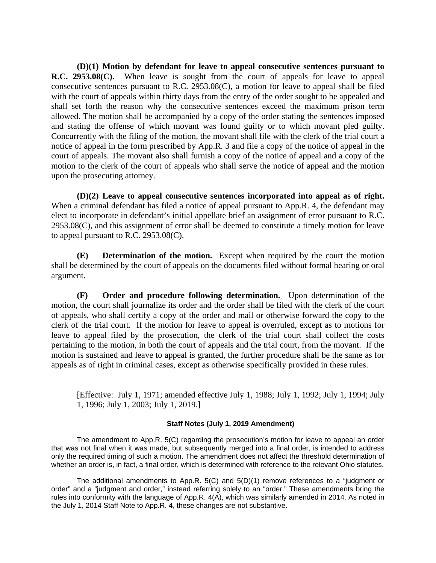**(D)(1) Motion by defendant for leave to appeal consecutive sentences pursuant to R.C. 2953.08(C).** When leave is sought from the court of appeals for leave to appeal consecutive sentences pursuant to R.C. 2953.08(C), a motion for leave to appeal shall be filed with the court of appeals within thirty days from the entry of the order sought to be appealed and shall set forth the reason why the consecutive sentences exceed the maximum prison term allowed. The motion shall be accompanied by a copy of the order stating the sentences imposed and stating the offense of which movant was found guilty or to which movant pled guilty. Concurrently with the filing of the motion, the movant shall file with the clerk of the trial court a notice of appeal in the form prescribed by App.R. 3 and file a copy of the notice of appeal in the court of appeals. The movant also shall furnish a copy of the notice of appeal and a copy of the motion to the clerk of the court of appeals who shall serve the notice of appeal and the motion upon the prosecuting attorney.

**(D)(2) Leave to appeal consecutive sentences incorporated into appeal as of right.** When a criminal defendant has filed a notice of appeal pursuant to App.R. 4, the defendant may elect to incorporate in defendant's initial appellate brief an assignment of error pursuant to R.C. 2953.08(C), and this assignment of error shall be deemed to constitute a timely motion for leave to appeal pursuant to R.C. 2953.08(C).

**(E) Determination of the motion.** Except when required by the court the motion shall be determined by the court of appeals on the documents filed without formal hearing or oral argument.

**(F) Order and procedure following determination.** Upon determination of the motion, the court shall journalize its order and the order shall be filed with the clerk of the court of appeals, who shall certify a copy of the order and mail or otherwise forward the copy to the clerk of the trial court. If the motion for leave to appeal is overruled, except as to motions for leave to appeal filed by the prosecution, the clerk of the trial court shall collect the costs pertaining to the motion, in both the court of appeals and the trial court, from the movant. If the motion is sustained and leave to appeal is granted, the further procedure shall be the same as for appeals as of right in criminal cases, except as otherwise specifically provided in these rules.

[Effective: July 1, 1971; amended effective July 1, 1988; July 1, 1992; July 1, 1994; July 1, 1996; July 1, 2003; July 1, 2019.]

## **Staff Notes (July 1, 2019 Amendment)**

The amendment to App.R. 5(C) regarding the prosecution's motion for leave to appeal an order that was not final when it was made, but subsequently merged into a final order, is intended to address only the required timing of such a motion. The amendment does not affect the threshold determination of whether an order is, in fact, a final order, which is determined with reference to the relevant Ohio statutes.

The additional amendments to App.R. 5(C) and 5(D)(1) remove references to a "judgment or order" and a "judgment and order," instead referring solely to an "order." These amendments bring the rules into conformity with the language of App.R. 4(A), which was similarly amended in 2014. As noted in the July 1, 2014 Staff Note to App.R. 4, these changes are not substantive.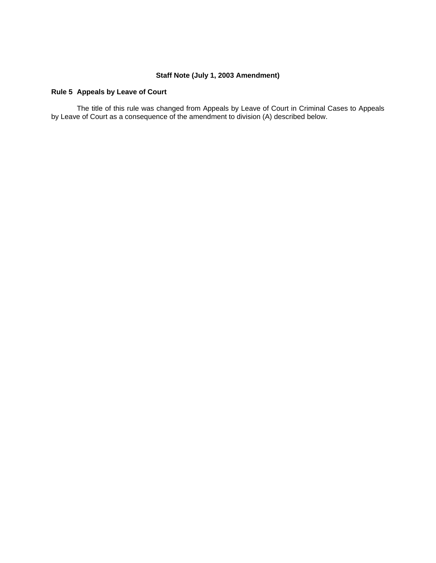## **Staff Note (July 1, 2003 Amendment)**

## **Rule 5 Appeals by Leave of Court**

The title of this rule was changed from Appeals by Leave of Court in Criminal Cases to Appeals by Leave of Court as a consequence of the amendment to division (A) described below.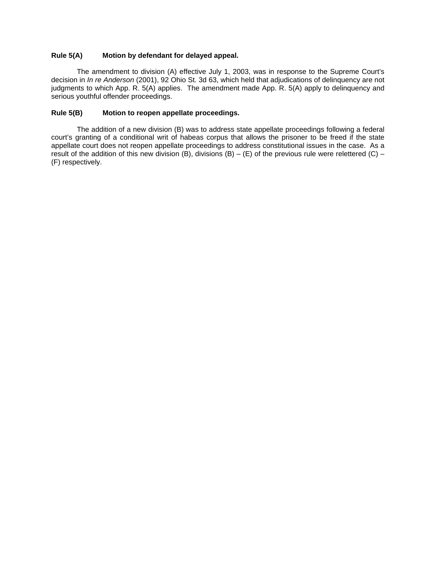## **Rule 5(A) Motion by defendant for delayed appeal.**

The amendment to division (A) effective July 1, 2003, was in response to the Supreme Court's decision in *In re Anderson* (2001), 92 Ohio St. 3d 63, which held that adjudications of delinquency are not judgments to which App. R. 5(A) applies. The amendment made App. R. 5(A) apply to delinquency and serious youthful offender proceedings.

## **Rule 5(B) Motion to reopen appellate proceedings.**

The addition of a new division (B) was to address state appellate proceedings following a federal court's granting of a conditional writ of habeas corpus that allows the prisoner to be freed if the state appellate court does not reopen appellate proceedings to address constitutional issues in the case. As a result of the addition of this new division (B), divisions (B) – (E) of the previous rule were relettered (C) – (F) respectively.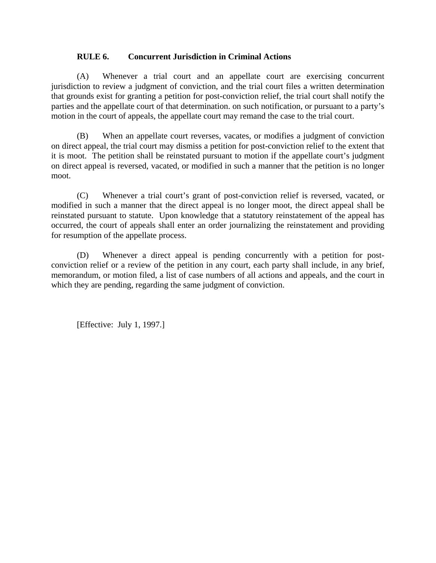# <span id="page-17-0"></span>**RULE 6. Concurrent Jurisdiction in Criminal Actions**

(A) Whenever a trial court and an appellate court are exercising concurrent jurisdiction to review a judgment of conviction, and the trial court files a written determination that grounds exist for granting a petition for post-conviction relief, the trial court shall notify the parties and the appellate court of that determination. on such notification, or pursuant to a party's motion in the court of appeals, the appellate court may remand the case to the trial court.

(B) When an appellate court reverses, vacates, or modifies a judgment of conviction on direct appeal, the trial court may dismiss a petition for post-conviction relief to the extent that it is moot. The petition shall be reinstated pursuant to motion if the appellate court's judgment on direct appeal is reversed, vacated, or modified in such a manner that the petition is no longer moot.

(C) Whenever a trial court's grant of post-conviction relief is reversed, vacated, or modified in such a manner that the direct appeal is no longer moot, the direct appeal shall be reinstated pursuant to statute. Upon knowledge that a statutory reinstatement of the appeal has occurred, the court of appeals shall enter an order journalizing the reinstatement and providing for resumption of the appellate process.

(D) Whenever a direct appeal is pending concurrently with a petition for postconviction relief or a review of the petition in any court, each party shall include, in any brief, memorandum, or motion filed, a list of case numbers of all actions and appeals, and the court in which they are pending, regarding the same judgment of conviction.

[Effective: July 1, 1997.]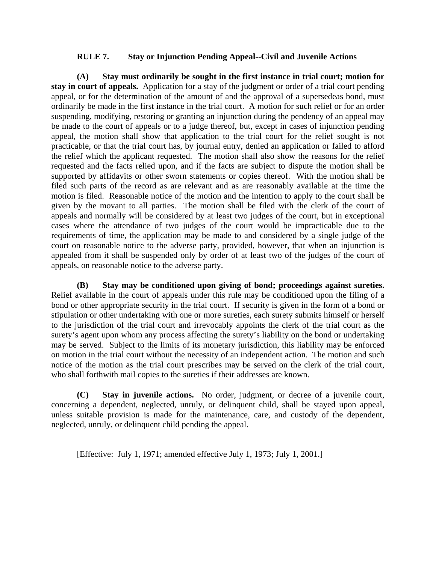## <span id="page-18-0"></span>**RULE 7. Stay or Injunction Pending Appeal--Civil and Juvenile Actions**

**(A) Stay must ordinarily be sought in the first instance in trial court; motion for stay in court of appeals.** Application for a stay of the judgment or order of a trial court pending appeal, or for the determination of the amount of and the approval of a supersedeas bond, must ordinarily be made in the first instance in the trial court. A motion for such relief or for an order suspending, modifying, restoring or granting an injunction during the pendency of an appeal may be made to the court of appeals or to a judge thereof, but, except in cases of injunction pending appeal, the motion shall show that application to the trial court for the relief sought is not practicable, or that the trial court has, by journal entry, denied an application or failed to afford the relief which the applicant requested. The motion shall also show the reasons for the relief requested and the facts relied upon, and if the facts are subject to dispute the motion shall be supported by affidavits or other sworn statements or copies thereof. With the motion shall be filed such parts of the record as are relevant and as are reasonably available at the time the motion is filed. Reasonable notice of the motion and the intention to apply to the court shall be given by the movant to all parties. The motion shall be filed with the clerk of the court of appeals and normally will be considered by at least two judges of the court, but in exceptional cases where the attendance of two judges of the court would be impracticable due to the requirements of time, the application may be made to and considered by a single judge of the court on reasonable notice to the adverse party, provided, however, that when an injunction is appealed from it shall be suspended only by order of at least two of the judges of the court of appeals, on reasonable notice to the adverse party.

**(B) Stay may be conditioned upon giving of bond; proceedings against sureties.** Relief available in the court of appeals under this rule may be conditioned upon the filing of a bond or other appropriate security in the trial court. If security is given in the form of a bond or stipulation or other undertaking with one or more sureties, each surety submits himself or herself to the jurisdiction of the trial court and irrevocably appoints the clerk of the trial court as the surety's agent upon whom any process affecting the surety's liability on the bond or undertaking may be served. Subject to the limits of its monetary jurisdiction, this liability may be enforced on motion in the trial court without the necessity of an independent action. The motion and such notice of the motion as the trial court prescribes may be served on the clerk of the trial court, who shall forthwith mail copies to the sureties if their addresses are known.

**(C) Stay in juvenile actions.** No order, judgment, or decree of a juvenile court, concerning a dependent, neglected, unruly, or delinquent child, shall be stayed upon appeal, unless suitable provision is made for the maintenance, care, and custody of the dependent, neglected, unruly, or delinquent child pending the appeal.

[Effective: July 1, 1971; amended effective July 1, 1973; July 1, 2001.]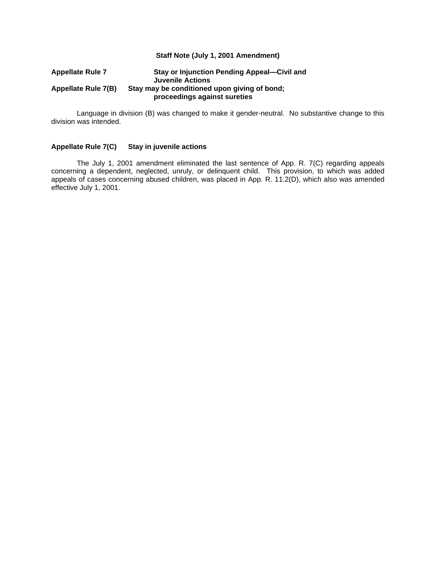## **Staff Note (July 1, 2001 Amendment)**

## **Appellate Rule 7 Stay or Injunction Pending Appeal—Civil and Juvenile Actions Appellate Rule 7(B) Stay may be conditioned upon giving of bond; proceedings against sureties**

Language in division (B) was changed to make it gender-neutral. No substantive change to this division was intended.

## **Appellate Rule 7(C) Stay in juvenile actions**

The July 1, 2001 amendment eliminated the last sentence of App. R. 7(C) regarding appeals concerning a dependent, neglected, unruly, or delinquent child. This provision, to which was added appeals of cases concerning abused children, was placed in App. R. 11.2(D), which also was amended effective July 1, 2001.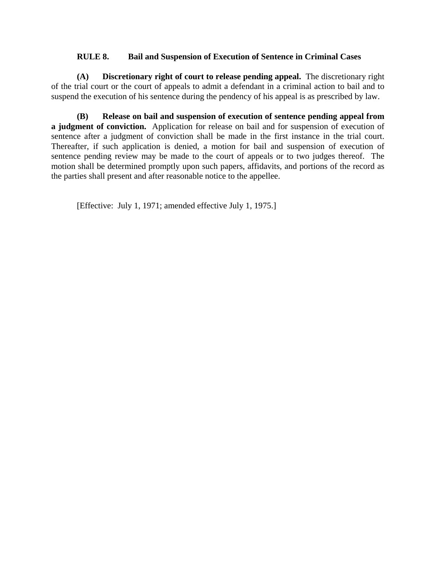## <span id="page-20-0"></span>**RULE 8. Bail and Suspension of Execution of Sentence in Criminal Cases**

**(A) Discretionary right of court to release pending appeal.** The discretionary right of the trial court or the court of appeals to admit a defendant in a criminal action to bail and to suspend the execution of his sentence during the pendency of his appeal is as prescribed by law.

**(B) Release on bail and suspension of execution of sentence pending appeal from a judgment of conviction.** Application for release on bail and for suspension of execution of sentence after a judgment of conviction shall be made in the first instance in the trial court. Thereafter, if such application is denied, a motion for bail and suspension of execution of sentence pending review may be made to the court of appeals or to two judges thereof. The motion shall be determined promptly upon such papers, affidavits, and portions of the record as the parties shall present and after reasonable notice to the appellee.

[Effective: July 1, 1971; amended effective July 1, 1975.]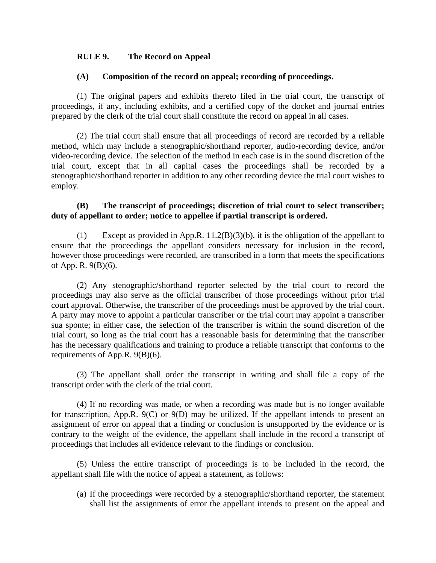## <span id="page-21-0"></span>**RULE 9. The Record on Appeal**

## **(A) Composition of the record on appeal; recording of proceedings.**

(1) The original papers and exhibits thereto filed in the trial court, the transcript of proceedings, if any, including exhibits, and a certified copy of the docket and journal entries prepared by the clerk of the trial court shall constitute the record on appeal in all cases.

(2) The trial court shall ensure that all proceedings of record are recorded by a reliable method, which may include a stenographic/shorthand reporter, audio-recording device, and/or video-recording device. The selection of the method in each case is in the sound discretion of the trial court, except that in all capital cases the proceedings shall be recorded by a stenographic/shorthand reporter in addition to any other recording device the trial court wishes to employ.

# **(B) The transcript of proceedings; discretion of trial court to select transcriber; duty of appellant to order; notice to appellee if partial transcript is ordered.**

(1) Except as provided in App.R.  $11.2(B)(3)(b)$ , it is the obligation of the appellant to ensure that the proceedings the appellant considers necessary for inclusion in the record, however those proceedings were recorded, are transcribed in a form that meets the specifications of App. R. 9(B)(6).

(2) Any stenographic/shorthand reporter selected by the trial court to record the proceedings may also serve as the official transcriber of those proceedings without prior trial court approval. Otherwise, the transcriber of the proceedings must be approved by the trial court. A party may move to appoint a particular transcriber or the trial court may appoint a transcriber sua sponte; in either case, the selection of the transcriber is within the sound discretion of the trial court, so long as the trial court has a reasonable basis for determining that the transcriber has the necessary qualifications and training to produce a reliable transcript that conforms to the requirements of App.R. 9(B)(6).

(3) The appellant shall order the transcript in writing and shall file a copy of the transcript order with the clerk of the trial court.

(4) If no recording was made, or when a recording was made but is no longer available for transcription, App.R. 9(C) or 9(D) may be utilized. If the appellant intends to present an assignment of error on appeal that a finding or conclusion is unsupported by the evidence or is contrary to the weight of the evidence, the appellant shall include in the record a transcript of proceedings that includes all evidence relevant to the findings or conclusion.

(5) Unless the entire transcript of proceedings is to be included in the record, the appellant shall file with the notice of appeal a statement, as follows:

(a) If the proceedings were recorded by a stenographic/shorthand reporter, the statement shall list the assignments of error the appellant intends to present on the appeal and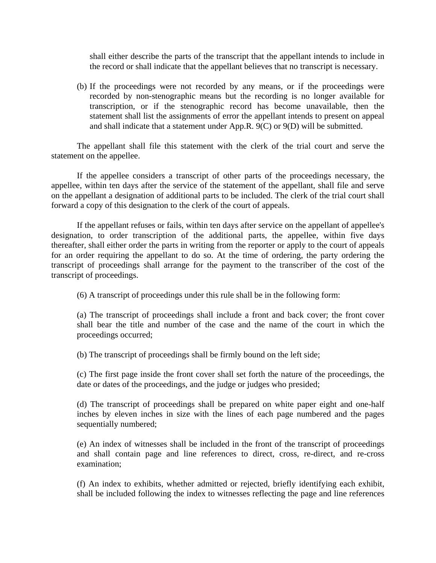shall either describe the parts of the transcript that the appellant intends to include in the record or shall indicate that the appellant believes that no transcript is necessary.

(b) If the proceedings were not recorded by any means, or if the proceedings were recorded by non-stenographic means but the recording is no longer available for transcription, or if the stenographic record has become unavailable, then the statement shall list the assignments of error the appellant intends to present on appeal and shall indicate that a statement under App.R. 9(C) or 9(D) will be submitted.

The appellant shall file this statement with the clerk of the trial court and serve the statement on the appellee.

If the appellee considers a transcript of other parts of the proceedings necessary, the appellee, within ten days after the service of the statement of the appellant, shall file and serve on the appellant a designation of additional parts to be included. The clerk of the trial court shall forward a copy of this designation to the clerk of the court of appeals.

If the appellant refuses or fails, within ten days after service on the appellant of appellee's designation, to order transcription of the additional parts, the appellee, within five days thereafter, shall either order the parts in writing from the reporter or apply to the court of appeals for an order requiring the appellant to do so. At the time of ordering, the party ordering the transcript of proceedings shall arrange for the payment to the transcriber of the cost of the transcript of proceedings.

(6) A transcript of proceedings under this rule shall be in the following form:

(a) The transcript of proceedings shall include a front and back cover; the front cover shall bear the title and number of the case and the name of the court in which the proceedings occurred;

(b) The transcript of proceedings shall be firmly bound on the left side;

(c) The first page inside the front cover shall set forth the nature of the proceedings, the date or dates of the proceedings, and the judge or judges who presided;

(d) The transcript of proceedings shall be prepared on white paper eight and one-half inches by eleven inches in size with the lines of each page numbered and the pages sequentially numbered;

(e) An index of witnesses shall be included in the front of the transcript of proceedings and shall contain page and line references to direct, cross, re-direct, and re-cross examination;

(f) An index to exhibits, whether admitted or rejected, briefly identifying each exhibit, shall be included following the index to witnesses reflecting the page and line references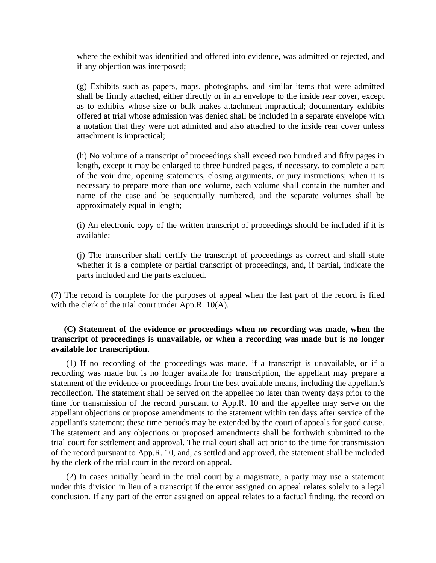where the exhibit was identified and offered into evidence, was admitted or rejected, and if any objection was interposed;

(g) Exhibits such as papers, maps, photographs, and similar items that were admitted shall be firmly attached, either directly or in an envelope to the inside rear cover, except as to exhibits whose size or bulk makes attachment impractical; documentary exhibits offered at trial whose admission was denied shall be included in a separate envelope with a notation that they were not admitted and also attached to the inside rear cover unless attachment is impractical;

(h) No volume of a transcript of proceedings shall exceed two hundred and fifty pages in length, except it may be enlarged to three hundred pages, if necessary, to complete a part of the voir dire, opening statements, closing arguments, or jury instructions; when it is necessary to prepare more than one volume, each volume shall contain the number and name of the case and be sequentially numbered, and the separate volumes shall be approximately equal in length;

(i) An electronic copy of the written transcript of proceedings should be included if it is available;

(j) The transcriber shall certify the transcript of proceedings as correct and shall state whether it is a complete or partial transcript of proceedings, and, if partial, indicate the parts included and the parts excluded.

(7) The record is complete for the purposes of appeal when the last part of the record is filed with the clerk of the trial court under App.R. 10(A).

## **(C) Statement of the evidence or proceedings when no recording was made, when the transcript of proceedings is unavailable, or when a recording was made but is no longer available for transcription.**

(1) If no recording of the proceedings was made, if a transcript is unavailable, or if a recording was made but is no longer available for transcription, the appellant may prepare a statement of the evidence or proceedings from the best available means, including the appellant's recollection. The statement shall be served on the appellee no later than twenty days prior to the time for transmission of the record pursuant to App.R. 10 and the appellee may serve on the appellant objections or propose amendments to the statement within ten days after service of the appellant's statement; these time periods may be extended by the court of appeals for good cause. The statement and any objections or proposed amendments shall be forthwith submitted to the trial court for settlement and approval. The trial court shall act prior to the time for transmission of the record pursuant to App.R. 10, and, as settled and approved, the statement shall be included by the clerk of the trial court in the record on appeal.

(2) In cases initially heard in the trial court by a magistrate, a party may use a statement under this division in lieu of a transcript if the error assigned on appeal relates solely to a legal conclusion. If any part of the error assigned on appeal relates to a factual finding, the record on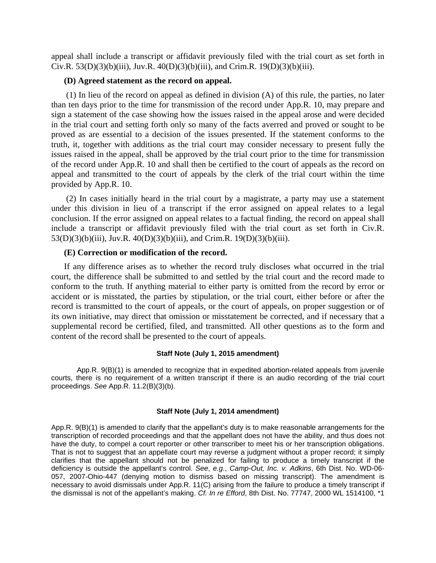appeal shall include a transcript or affidavit previously filed with the trial court as set forth in Civ.R.  $53(D)(3)(b)(iii)$ , Juv.R.  $40(D)(3)(b)(iii)$ , and Crim.R.  $19(D)(3)(b)(iii)$ .

## **(D) Agreed statement as the record on appeal.**

(1) In lieu of the record on appeal as defined in division (A) of this rule, the parties, no later than ten days prior to the time for transmission of the record under App.R. 10, may prepare and sign a statement of the case showing how the issues raised in the appeal arose and were decided in the trial court and setting forth only so many of the facts averred and proved or sought to be proved as are essential to a decision of the issues presented. If the statement conforms to the truth, it, together with additions as the trial court may consider necessary to present fully the issues raised in the appeal, shall be approved by the trial court prior to the time for transmission of the record under App.R. 10 and shall then be certified to the court of appeals as the record on appeal and transmitted to the court of appeals by the clerk of the trial court within the time provided by App.R. 10.

(2) In cases initially heard in the trial court by a magistrate, a party may use a statement under this division in lieu of a transcript if the error assigned on appeal relates to a legal conclusion. If the error assigned on appeal relates to a factual finding, the record on appeal shall include a transcript or affidavit previously filed with the trial court as set forth in Civ.R. 53(D)(3)(b)(iii), Juv.R. 40(D)(3)(b)(iii), and Crim.R. 19(D)(3)(b)(iii).

## **(E) Correction or modification of the record.**

If any difference arises as to whether the record truly discloses what occurred in the trial court, the difference shall be submitted to and settled by the trial court and the record made to conform to the truth. If anything material to either party is omitted from the record by error or accident or is misstated, the parties by stipulation, or the trial court, either before or after the record is transmitted to the court of appeals, or the court of appeals, on proper suggestion or of its own initiative, may direct that omission or misstatement be corrected, and if necessary that a supplemental record be certified, filed, and transmitted. All other questions as to the form and content of the record shall be presented to the court of appeals.

## **Staff Note (July 1, 2015 amendment)**

App.R. 9(B)(1) is amended to recognize that in expedited abortion-related appeals from juvenile courts, there is no requirement of a written transcript if there is an audio recording of the trial court proceedings. *See* App.R. 11.2(B)(3)(b).

## **Staff Note (July 1, 2014 amendment)**

App.R. 9(B)(1) is amended to clarify that the appellant's duty is to make reasonable arrangements for the transcription of recorded proceedings and that the appellant does not have the ability, and thus does not have the duty, to compel a court reporter or other transcriber to meet his or her transcription obligations. That is not to suggest that an appellate court may reverse a judgment without a proper record; it simply clarifies that the appellant should not be penalized for failing to produce a timely transcript if the deficiency is outside the appellant's control. *See*, *e.g.*, *Camp-Out, Inc. v. Adkins*, 6th Dist. No. WD-06- 057, 2007-Ohio-447 (denying motion to dismiss based on missing transcript). The amendment is necessary to avoid dismissals under App.R. 11(C) arising from the failure to produce a timely transcript if the dismissal is not of the appellant's making. *Cf. In re Efford*, 8th Dist. No. 77747, 2000 WL 1514100, \*1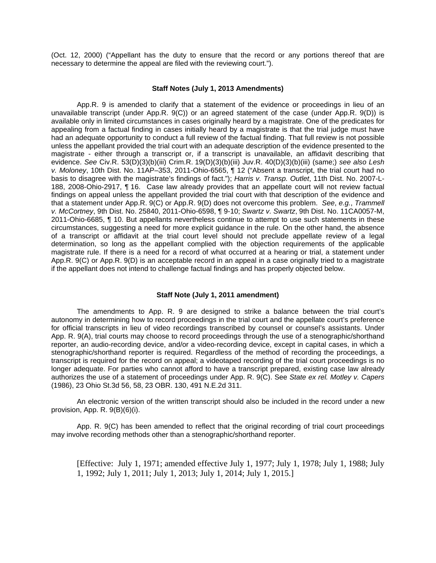(Oct. 12, 2000) ("Appellant has the duty to ensure that the record or any portions thereof that are necessary to determine the appeal are filed with the reviewing court.").

#### **Staff Notes (July 1, 2013 Amendments)**

App.R. 9 is amended to clarify that a statement of the evidence or proceedings in lieu of an unavailable transcript (under App.R. 9(C)) or an agreed statement of the case (under App.R. 9(D)) is available only in limited circumstances in cases originally heard by a magistrate. One of the predicates for appealing from a factual finding in cases initially heard by a magistrate is that the trial judge must have had an adequate opportunity to conduct a full review of the factual finding. That full review is not possible unless the appellant provided the trial court with an adequate description of the evidence presented to the magistrate - either through a transcript or, if a transcript is unavailable, an affidavit describing that evidence. *See* Civ.R. 53(D)(3)(b)(iii) Crim.R. 19(D)(3)(b)(iii) Juv.R. 40(D)(3)(b)(iii) (same;) *see also Lesh v. Moloney*, 10th Dist. No. 11AP–353, 2011-Ohio-6565, ¶ 12 ("Absent a transcript, the trial court had no basis to disagree with the magistrate's findings of fact."); *Harris v. Transp. Outlet*, 11th Dist. No. 2007-L-188, 2008-Ohio-2917, ¶ 16. Case law already provides that an appellate court will not review factual findings on appeal unless the appellant provided the trial court with that description of the evidence and that a statement under App.R. 9(C) or App.R. 9(D) does not overcome this problem. *See*, *e.g.*, *Trammell v. McCortney*, 9th Dist. No. 25840, 2011-Ohio-6598, ¶ 9-10; *Swartz v. Swartz*, 9th Dist. No. 11CA0057-M, 2011-Ohio-6685, ¶ 10. But appellants nevertheless continue to attempt to use such statements in these circumstances, suggesting a need for more explicit guidance in the rule. On the other hand, the absence of a transcript or affidavit at the trial court level should not preclude appellate review of a legal determination, so long as the appellant complied with the objection requirements of the applicable magistrate rule. If there is a need for a record of what occurred at a hearing or trial, a statement under App.R. 9(C) or App.R. 9(D) is an acceptable record in an appeal in a case originally tried to a magistrate if the appellant does not intend to challenge factual findings and has properly objected below.

## **Staff Note (July 1, 2011 amendment)**

The amendments to App. R. 9 are designed to strike a balance between the trial court's autonomy in determining how to record proceedings in the trial court and the appellate court's preference for official transcripts in lieu of video recordings transcribed by counsel or counsel's assistants. Under App. R. 9(A), trial courts may choose to record proceedings through the use of a stenographic/shorthand reporter, an audio-recording device, and/or a video-recording device, except in capital cases, in which a stenographic/shorthand reporter is required. Regardless of the method of recording the proceedings, a transcript is required for the record on appeal; a videotaped recording of the trial court proceedings is no longer adequate. For parties who cannot afford to have a transcript prepared, existing case law already authorizes the use of a statement of proceedings under App. R. 9(C). See *State ex rel. Motley v. Capers* (1986), 23 Ohio St.3d 56, 58, 23 OBR. 130, 491 N.E.2d 311.

An electronic version of the written transcript should also be included in the record under a new provision, App. R. 9(B)(6)(i).

App. R. 9(C) has been amended to reflect that the original recording of trial court proceedings may involve recording methods other than a stenographic/shorthand reporter.

[Effective: July 1, 1971; amended effective July 1, 1977; July 1, 1978; July 1, 1988; July 1, 1992; July 1, 2011; July 1, 2013; July 1, 2014; July 1, 2015.]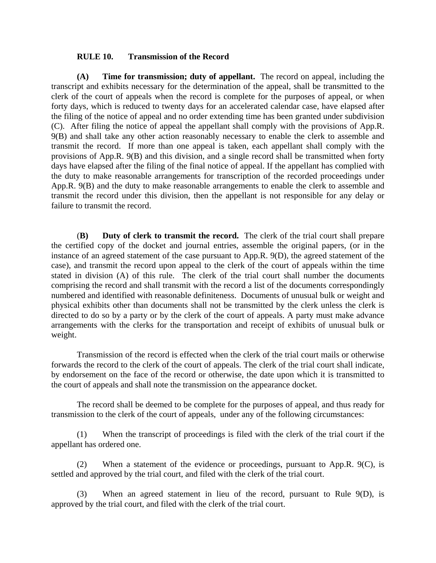## <span id="page-26-0"></span>**RULE 10. Transmission of the Record**

**(A) Time for transmission; duty of appellant.** The record on appeal, including the transcript and exhibits necessary for the determination of the appeal, shall be transmitted to the clerk of the court of appeals when the record is complete for the purposes of appeal, or when forty days, which is reduced to twenty days for an accelerated calendar case, have elapsed after the filing of the notice of appeal and no order extending time has been granted under subdivision (C). After filing the notice of appeal the appellant shall comply with the provisions of App.R. 9(B) and shall take any other action reasonably necessary to enable the clerk to assemble and transmit the record. If more than one appeal is taken, each appellant shall comply with the provisions of App.R. 9(B) and this division, and a single record shall be transmitted when forty days have elapsed after the filing of the final notice of appeal. If the appellant has complied with the duty to make reasonable arrangements for transcription of the recorded proceedings under App.R. 9(B) and the duty to make reasonable arrangements to enable the clerk to assemble and transmit the record under this division, then the appellant is not responsible for any delay or failure to transmit the record.

(**B) Duty of clerk to transmit the record.** The clerk of the trial court shall prepare the certified copy of the docket and journal entries, assemble the original papers, (or in the instance of an agreed statement of the case pursuant to App.R. 9(D), the agreed statement of the case), and transmit the record upon appeal to the clerk of the court of appeals within the time stated in division (A) of this rule. The clerk of the trial court shall number the documents comprising the record and shall transmit with the record a list of the documents correspondingly numbered and identified with reasonable definiteness. Documents of unusual bulk or weight and physical exhibits other than documents shall not be transmitted by the clerk unless the clerk is directed to do so by a party or by the clerk of the court of appeals. A party must make advance arrangements with the clerks for the transportation and receipt of exhibits of unusual bulk or weight.

Transmission of the record is effected when the clerk of the trial court mails or otherwise forwards the record to the clerk of the court of appeals. The clerk of the trial court shall indicate, by endorsement on the face of the record or otherwise, the date upon which it is transmitted to the court of appeals and shall note the transmission on the appearance docket.

The record shall be deemed to be complete for the purposes of appeal, and thus ready for transmission to the clerk of the court of appeals, under any of the following circumstances:

(1) When the transcript of proceedings is filed with the clerk of the trial court if the appellant has ordered one.

(2) When a statement of the evidence or proceedings, pursuant to App.R. 9(C), is settled and approved by the trial court, and filed with the clerk of the trial court.

(3) When an agreed statement in lieu of the record, pursuant to Rule 9(D), is approved by the trial court, and filed with the clerk of the trial court.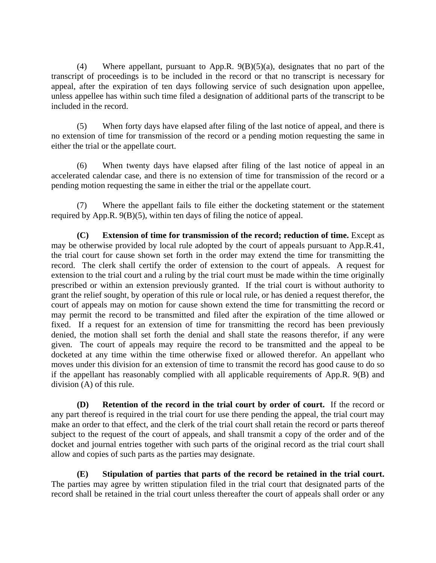(4) Where appellant, pursuant to App.R. 9(B)(5)(a), designates that no part of the transcript of proceedings is to be included in the record or that no transcript is necessary for appeal, after the expiration of ten days following service of such designation upon appellee, unless appellee has within such time filed a designation of additional parts of the transcript to be included in the record.

(5) When forty days have elapsed after filing of the last notice of appeal, and there is no extension of time for transmission of the record or a pending motion requesting the same in either the trial or the appellate court.

(6) When twenty days have elapsed after filing of the last notice of appeal in an accelerated calendar case, and there is no extension of time for transmission of the record or a pending motion requesting the same in either the trial or the appellate court.

(7) Where the appellant fails to file either the docketing statement or the statement required by App.R. 9(B)(5), within ten days of filing the notice of appeal.

**(C) Extension of time for transmission of the record; reduction of time.** Except as may be otherwise provided by local rule adopted by the court of appeals pursuant to App.R.41, the trial court for cause shown set forth in the order may extend the time for transmitting the record. The clerk shall certify the order of extension to the court of appeals. A request for extension to the trial court and a ruling by the trial court must be made within the time originally prescribed or within an extension previously granted. If the trial court is without authority to grant the relief sought, by operation of this rule or local rule, or has denied a request therefor, the court of appeals may on motion for cause shown extend the time for transmitting the record or may permit the record to be transmitted and filed after the expiration of the time allowed or fixed. If a request for an extension of time for transmitting the record has been previously denied, the motion shall set forth the denial and shall state the reasons therefor, if any were given. The court of appeals may require the record to be transmitted and the appeal to be docketed at any time within the time otherwise fixed or allowed therefor. An appellant who moves under this division for an extension of time to transmit the record has good cause to do so if the appellant has reasonably complied with all applicable requirements of App.R. 9(B) and division (A) of this rule.

**(D) Retention of the record in the trial court by order of court.** If the record or any part thereof is required in the trial court for use there pending the appeal, the trial court may make an order to that effect, and the clerk of the trial court shall retain the record or parts thereof subject to the request of the court of appeals, and shall transmit a copy of the order and of the docket and journal entries together with such parts of the original record as the trial court shall allow and copies of such parts as the parties may designate.

**(E) Stipulation of parties that parts of the record be retained in the trial court.** The parties may agree by written stipulation filed in the trial court that designated parts of the record shall be retained in the trial court unless thereafter the court of appeals shall order or any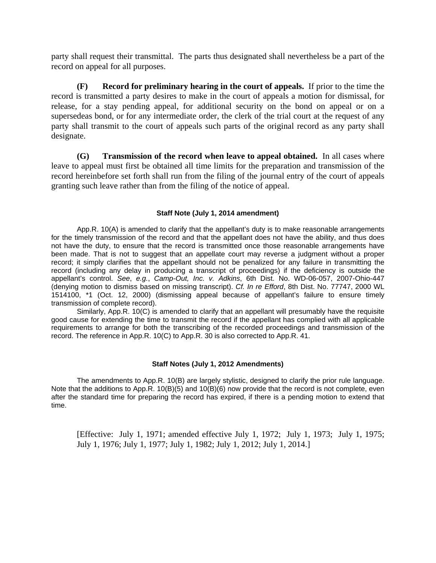party shall request their transmittal. The parts thus designated shall nevertheless be a part of the record on appeal for all purposes.

**(F) Record for preliminary hearing in the court of appeals.** If prior to the time the record is transmitted a party desires to make in the court of appeals a motion for dismissal, for release, for a stay pending appeal, for additional security on the bond on appeal or on a supersedeas bond, or for any intermediate order, the clerk of the trial court at the request of any party shall transmit to the court of appeals such parts of the original record as any party shall designate.

**(G) Transmission of the record when leave to appeal obtained.** In all cases where leave to appeal must first be obtained all time limits for the preparation and transmission of the record hereinbefore set forth shall run from the filing of the journal entry of the court of appeals granting such leave rather than from the filing of the notice of appeal.

## **Staff Note (July 1, 2014 amendment)**

App.R. 10(A) is amended to clarify that the appellant's duty is to make reasonable arrangements for the timely transmission of the record and that the appellant does not have the ability, and thus does not have the duty, to ensure that the record is transmitted once those reasonable arrangements have been made. That is not to suggest that an appellate court may reverse a judgment without a proper record; it simply clarifies that the appellant should not be penalized for any failure in transmitting the record (including any delay in producing a transcript of proceedings) if the deficiency is outside the appellant's control. *See*, *e.g.*, *Camp-Out, Inc. v. Adkins*, 6th Dist. No. WD-06-057, 2007-Ohio-447 (denying motion to dismiss based on missing transcript). *Cf. In re Efford*, 8th Dist. No. 77747, 2000 WL 1514100, \*1 (Oct. 12, 2000) (dismissing appeal because of appellant's failure to ensure timely transmission of complete record).

Similarly, App.R. 10(C) is amended to clarify that an appellant will presumably have the requisite good cause for extending the time to transmit the record if the appellant has complied with all applicable requirements to arrange for both the transcribing of the recorded proceedings and transmission of the record. The reference in App.R. 10(C) to App.R. 30 is also corrected to App.R. 41.

## **Staff Notes (July 1, 2012 Amendments)**

The amendments to App.R. 10(B) are largely stylistic, designed to clarify the prior rule language. Note that the additions to App.R. 10(B)(5) and 10(B)(6) now provide that the record is not complete, even after the standard time for preparing the record has expired, if there is a pending motion to extend that time.

[Effective: July 1, 1971; amended effective July 1, 1972; July 1, 1973; July 1, 1975; July 1, 1976; July 1, 1977; July 1, 1982; July 1, 2012; July 1, 2014.]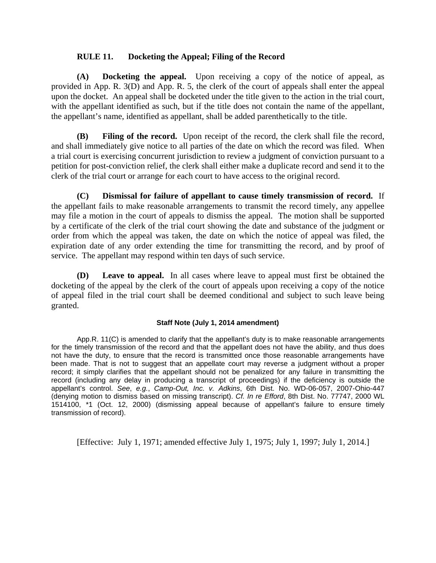## <span id="page-29-0"></span>**RULE 11. Docketing the Appeal; Filing of the Record**

**(A) Docketing the appeal.** Upon receiving a copy of the notice of appeal, as provided in App. R. 3(D) and App. R. 5, the clerk of the court of appeals shall enter the appeal upon the docket. An appeal shall be docketed under the title given to the action in the trial court, with the appellant identified as such, but if the title does not contain the name of the appellant, the appellant's name, identified as appellant, shall be added parenthetically to the title.

**(B) Filing of the record.** Upon receipt of the record, the clerk shall file the record, and shall immediately give notice to all parties of the date on which the record was filed. When a trial court is exercising concurrent jurisdiction to review a judgment of conviction pursuant to a petition for post-conviction relief, the clerk shall either make a duplicate record and send it to the clerk of the trial court or arrange for each court to have access to the original record.

**(C) Dismissal for failure of appellant to cause timely transmission of record.** If the appellant fails to make reasonable arrangements to transmit the record timely, any appellee may file a motion in the court of appeals to dismiss the appeal. The motion shall be supported by a certificate of the clerk of the trial court showing the date and substance of the judgment or order from which the appeal was taken, the date on which the notice of appeal was filed, the expiration date of any order extending the time for transmitting the record, and by proof of service. The appellant may respond within ten days of such service.

**(D) Leave to appeal.** In all cases where leave to appeal must first be obtained the docketing of the appeal by the clerk of the court of appeals upon receiving a copy of the notice of appeal filed in the trial court shall be deemed conditional and subject to such leave being granted.

## **Staff Note (July 1, 2014 amendment)**

App.R. 11(C) is amended to clarify that the appellant's duty is to make reasonable arrangements for the timely transmission of the record and that the appellant does not have the ability, and thus does not have the duty, to ensure that the record is transmitted once those reasonable arrangements have been made. That is not to suggest that an appellate court may reverse a judgment without a proper record; it simply clarifies that the appellant should not be penalized for any failure in transmitting the record (including any delay in producing a transcript of proceedings) if the deficiency is outside the appellant's control. *See*, *e.g.*, *Camp-Out, Inc. v. Adkins*, 6th Dist. No. WD-06-057, 2007-Ohio-447 (denying motion to dismiss based on missing transcript). *Cf. In re Efford*, 8th Dist. No. 77747, 2000 WL 1514100, \*1 (Oct. 12, 2000) (dismissing appeal because of appellant's failure to ensure timely transmission of record).

[Effective: July 1, 1971; amended effective July 1, 1975; July 1, 1997; July 1, 2014.]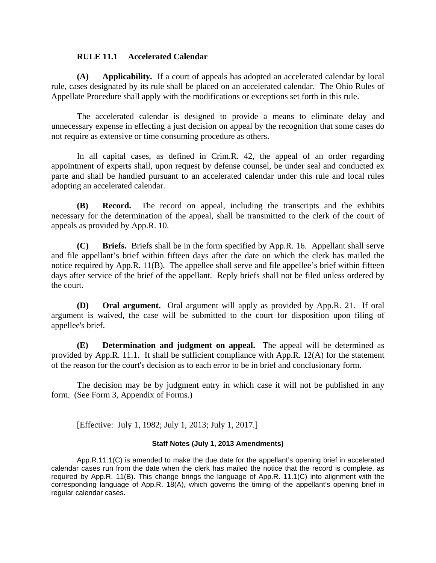## <span id="page-30-0"></span>**RULE 11.1 Accelerated Calendar**

**(A) Applicability.** If a court of appeals has adopted an accelerated calendar by local rule, cases designated by its rule shall be placed on an accelerated calendar. The Ohio Rules of Appellate Procedure shall apply with the modifications or exceptions set forth in this rule.

The accelerated calendar is designed to provide a means to eliminate delay and unnecessary expense in effecting a just decision on appeal by the recognition that some cases do not require as extensive or time consuming procedure as others.

In all capital cases, as defined in Crim.R. 42, the appeal of an order regarding appointment of experts shall, upon request by defense counsel, be under seal and conducted ex parte and shall be handled pursuant to an accelerated calendar under this rule and local rules adopting an accelerated calendar.

**(B) Record.** The record on appeal, including the transcripts and the exhibits necessary for the determination of the appeal, shall be transmitted to the clerk of the court of appeals as provided by App.R. 10.

**(C) Briefs.** Briefs shall be in the form specified by App.R. 16. Appellant shall serve and file appellant's brief within fifteen days after the date on which the clerk has mailed the notice required by App.R. 11(B). The appellee shall serve and file appellee's brief within fifteen days after service of the brief of the appellant. Reply briefs shall not be filed unless ordered by the court.

**(D) Oral argument.** Oral argument will apply as provided by App.R. 21. If oral argument is waived, the case will be submitted to the court for disposition upon filing of appellee's brief.

**(E) Determination and judgment on appeal.** The appeal will be determined as provided by App.R. 11.1. It shall be sufficient compliance with App.R. 12(A) for the statement of the reason for the court's decision as to each error to be in brief and conclusionary form.

The decision may be by judgment entry in which case it will not be published in any form. (See Form 3, Appendix of Forms.)

[Effective: July 1, 1982; July 1, 2013; July 1, 2017.]

## **Staff Notes (July 1, 2013 Amendments)**

App.R.11.1(C) is amended to make the due date for the appellant's opening brief in accelerated calendar cases run from the date when the clerk has mailed the notice that the record is complete, as required by App.R. 11(B). This change brings the language of App.R. 11.1(C) into alignment with the corresponding language of App.R. 18(A), which governs the timing of the appellant's opening brief in regular calendar cases.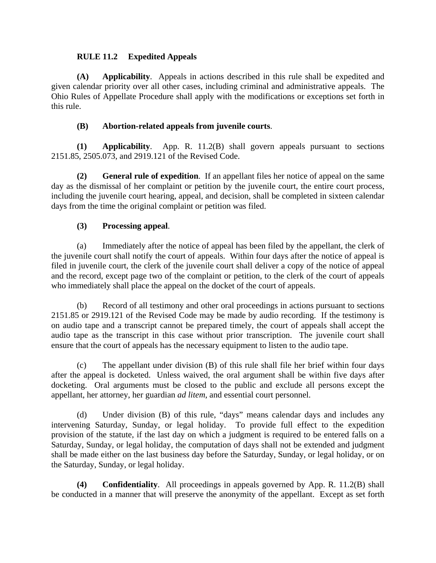# **RULE 11.2 Expedited Appeals**

<span id="page-32-0"></span>**(A) Applicability**. Appeals in actions described in this rule shall be expedited and given calendar priority over all other cases, including criminal and administrative appeals. The Ohio Rules of Appellate Procedure shall apply with the modifications or exceptions set forth in this rule.

# **(B) Abortion-related appeals from juvenile courts**.

**(1) Applicability**. App. R. 11.2(B) shall govern appeals pursuant to sections 2151.85, 2505.073, and 2919.121 of the Revised Code.

**(2) General rule of expedition**. If an appellant files her notice of appeal on the same day as the dismissal of her complaint or petition by the juvenile court, the entire court process, including the juvenile court hearing, appeal, and decision, shall be completed in sixteen calendar days from the time the original complaint or petition was filed.

# **(3) Processing appeal**.

(a) Immediately after the notice of appeal has been filed by the appellant, the clerk of the juvenile court shall notify the court of appeals. Within four days after the notice of appeal is filed in juvenile court, the clerk of the juvenile court shall deliver a copy of the notice of appeal and the record, except page two of the complaint or petition, to the clerk of the court of appeals who immediately shall place the appeal on the docket of the court of appeals.

(b) Record of all testimony and other oral proceedings in actions pursuant to sections 2151.85 or 2919.121 of the Revised Code may be made by audio recording. If the testimony is on audio tape and a transcript cannot be prepared timely, the court of appeals shall accept the audio tape as the transcript in this case without prior transcription. The juvenile court shall ensure that the court of appeals has the necessary equipment to listen to the audio tape.

(c) The appellant under division (B) of this rule shall file her brief within four days after the appeal is docketed. Unless waived, the oral argument shall be within five days after docketing. Oral arguments must be closed to the public and exclude all persons except the appellant, her attorney, her guardian *ad litem*, and essential court personnel.

(d) Under division (B) of this rule, "days" means calendar days and includes any intervening Saturday, Sunday, or legal holiday. To provide full effect to the expedition provision of the statute, if the last day on which a judgment is required to be entered falls on a Saturday, Sunday, or legal holiday, the computation of days shall not be extended and judgment shall be made either on the last business day before the Saturday, Sunday, or legal holiday, or on the Saturday, Sunday, or legal holiday.

**(4) Confidentiality**. All proceedings in appeals governed by App. R. 11.2(B) shall be conducted in a manner that will preserve the anonymity of the appellant. Except as set forth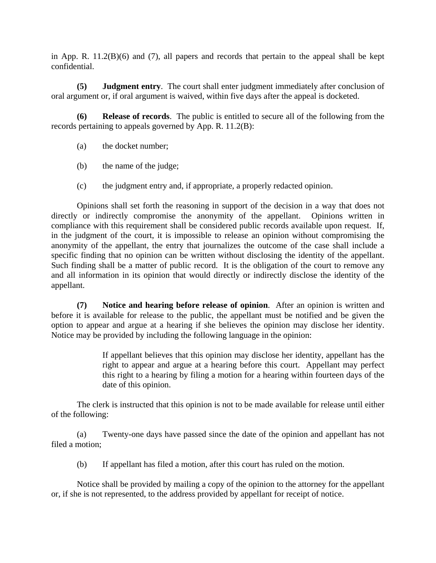in App. R. 11.2(B)(6) and (7), all papers and records that pertain to the appeal shall be kept confidential.

**(5) Judgment entry**. The court shall enter judgment immediately after conclusion of oral argument or, if oral argument is waived, within five days after the appeal is docketed.

**(6) Release of records**. The public is entitled to secure all of the following from the records pertaining to appeals governed by App. R. 11.2(B):

- (a) the docket number;
- (b) the name of the judge;
- (c) the judgment entry and, if appropriate, a properly redacted opinion.

Opinions shall set forth the reasoning in support of the decision in a way that does not directly or indirectly compromise the anonymity of the appellant. Opinions written in compliance with this requirement shall be considered public records available upon request. If, in the judgment of the court, it is impossible to release an opinion without compromising the anonymity of the appellant, the entry that journalizes the outcome of the case shall include a specific finding that no opinion can be written without disclosing the identity of the appellant. Such finding shall be a matter of public record. It is the obligation of the court to remove any and all information in its opinion that would directly or indirectly disclose the identity of the appellant.

**(7) Notice and hearing before release of opinion**. After an opinion is written and before it is available for release to the public, the appellant must be notified and be given the option to appear and argue at a hearing if she believes the opinion may disclose her identity. Notice may be provided by including the following language in the opinion:

> If appellant believes that this opinion may disclose her identity, appellant has the right to appear and argue at a hearing before this court. Appellant may perfect this right to a hearing by filing a motion for a hearing within fourteen days of the date of this opinion.

The clerk is instructed that this opinion is not to be made available for release until either of the following:

(a) Twenty-one days have passed since the date of the opinion and appellant has not filed a motion;

(b) If appellant has filed a motion, after this court has ruled on the motion.

Notice shall be provided by mailing a copy of the opinion to the attorney for the appellant or, if she is not represented, to the address provided by appellant for receipt of notice.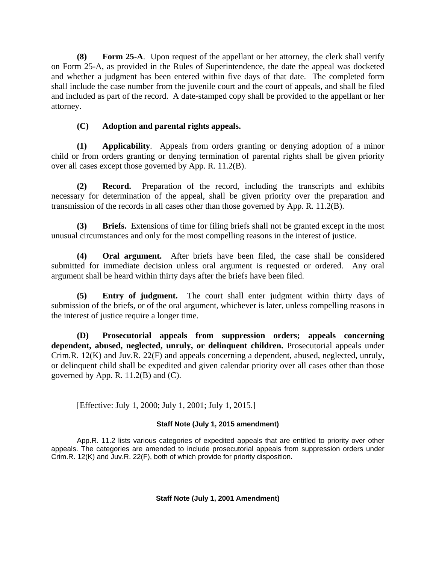**(8) Form 25-A**. Upon request of the appellant or her attorney, the clerk shall verify on Form 25-A, as provided in the Rules of Superintendence, the date the appeal was docketed and whether a judgment has been entered within five days of that date. The completed form shall include the case number from the juvenile court and the court of appeals, and shall be filed and included as part of the record. A date-stamped copy shall be provided to the appellant or her attorney.

# **(C) Adoption and parental rights appeals.**

**(1) Applicability**. Appeals from orders granting or denying adoption of a minor child or from orders granting or denying termination of parental rights shall be given priority over all cases except those governed by App. R. 11.2(B).

**(2) Record.** Preparation of the record, including the transcripts and exhibits necessary for determination of the appeal, shall be given priority over the preparation and transmission of the records in all cases other than those governed by App. R. 11.2(B).

**(3) Briefs.** Extensions of time for filing briefs shall not be granted except in the most unusual circumstances and only for the most compelling reasons in the interest of justice.

**(4) Oral argument.** After briefs have been filed, the case shall be considered submitted for immediate decision unless oral argument is requested or ordered. Any oral argument shall be heard within thirty days after the briefs have been filed.

**(5) Entry of judgment.** The court shall enter judgment within thirty days of submission of the briefs, or of the oral argument, whichever is later, unless compelling reasons in the interest of justice require a longer time.

**(D) Prosecutorial appeals from suppression orders; appeals concerning dependent, abused, neglected, unruly, or delinquent children.** Prosecutorial appeals under Crim.R. 12(K) and Juv.R. 22(F) and appeals concerning a dependent, abused, neglected, unruly, or delinquent child shall be expedited and given calendar priority over all cases other than those governed by App. R. 11.2(B) and (C).

[Effective: July 1, 2000; July 1, 2001; July 1, 2015.]

# **Staff Note (July 1, 2015 amendment)**

App.R. 11.2 lists various categories of expedited appeals that are entitled to priority over other appeals. The categories are amended to include prosecutorial appeals from suppression orders under Crim.R. 12(K) and Juv.R. 22(F), both of which provide for priority disposition.

**Staff Note (July 1, 2001 Amendment)**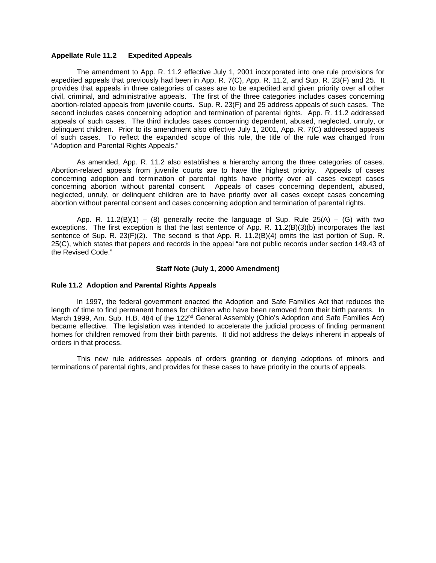#### **Appellate Rule 11.2 Expedited Appeals**

The amendment to App. R. 11.2 effective July 1, 2001 incorporated into one rule provisions for expedited appeals that previously had been in App. R. 7(C), App. R. 11.2, and Sup. R. 23(F) and 25. It provides that appeals in three categories of cases are to be expedited and given priority over all other civil, criminal, and administrative appeals. The first of the three categories includes cases concerning abortion-related appeals from juvenile courts. Sup. R. 23(F) and 25 address appeals of such cases. The second includes cases concerning adoption and termination of parental rights. App. R. 11.2 addressed appeals of such cases. The third includes cases concerning dependent, abused, neglected, unruly, or delinquent children. Prior to its amendment also effective July 1, 2001, App. R. 7(C) addressed appeals of such cases. To reflect the expanded scope of this rule, the title of the rule was changed from "Adoption and Parental Rights Appeals."

As amended, App. R. 11.2 also establishes a hierarchy among the three categories of cases. Abortion-related appeals from juvenile courts are to have the highest priority. Appeals of cases concerning adoption and termination of parental rights have priority over all cases except cases concerning abortion without parental consent. Appeals of cases concerning dependent, abused, neglected, unruly, or delinquent children are to have priority over all cases except cases concerning abortion without parental consent and cases concerning adoption and termination of parental rights.

App. R. 11.2(B)(1) – (8) generally recite the language of Sup. Rule 25(A) – (G) with two exceptions. The first exception is that the last sentence of App. R. 11.2(B)(3)(b) incorporates the last sentence of Sup. R. 23(F)(2). The second is that App. R. 11.2(B)(4) omits the last portion of Sup. R. 25(C), which states that papers and records in the appeal "are not public records under section 149.43 of the Revised Code."

#### **Staff Note (July 1, 2000 Amendment)**

### **Rule 11.2 Adoption and Parental Rights Appeals**

In 1997, the federal government enacted the Adoption and Safe Families Act that reduces the length of time to find permanent homes for children who have been removed from their birth parents. In March 1999, Am. Sub. H.B. 484 of the 122<sup>nd</sup> General Assembly (Ohio's Adoption and Safe Families Act) became effective. The legislation was intended to accelerate the judicial process of finding permanent homes for children removed from their birth parents. It did not address the delays inherent in appeals of orders in that process.

This new rule addresses appeals of orders granting or denying adoptions of minors and terminations of parental rights, and provides for these cases to have priority in the courts of appeals.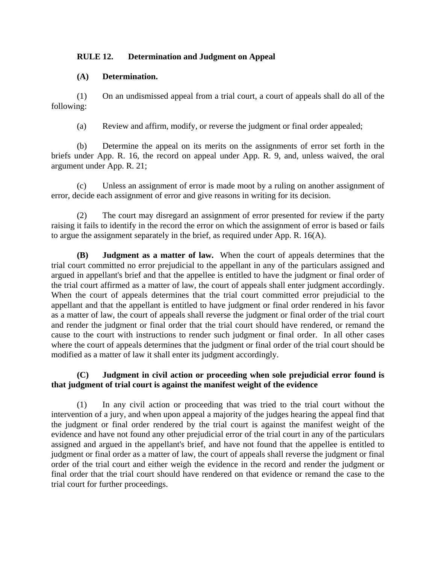# **RULE 12. Determination and Judgment on Appeal**

# **(A) Determination.**

(1) On an undismissed appeal from a trial court, a court of appeals shall do all of the following:

(a) Review and affirm, modify, or reverse the judgment or final order appealed;

(b) Determine the appeal on its merits on the assignments of error set forth in the briefs under App. R. 16, the record on appeal under App. R. 9, and, unless waived, the oral argument under App. R. 21;

(c) Unless an assignment of error is made moot by a ruling on another assignment of error, decide each assignment of error and give reasons in writing for its decision.

(2) The court may disregard an assignment of error presented for review if the party raising it fails to identify in the record the error on which the assignment of error is based or fails to argue the assignment separately in the brief, as required under App. R. 16(A).

**(B) Judgment as a matter of law.** When the court of appeals determines that the trial court committed no error prejudicial to the appellant in any of the particulars assigned and argued in appellant's brief and that the appellee is entitled to have the judgment or final order of the trial court affirmed as a matter of law, the court of appeals shall enter judgment accordingly. When the court of appeals determines that the trial court committed error prejudicial to the appellant and that the appellant is entitled to have judgment or final order rendered in his favor as a matter of law, the court of appeals shall reverse the judgment or final order of the trial court and render the judgment or final order that the trial court should have rendered, or remand the cause to the court with instructions to render such judgment or final order. In all other cases where the court of appeals determines that the judgment or final order of the trial court should be modified as a matter of law it shall enter its judgment accordingly.

# **(C) Judgment in civil action or proceeding when sole prejudicial error found is that judgment of trial court is against the manifest weight of the evidence**

(1) In any civil action or proceeding that was tried to the trial court without the intervention of a jury, and when upon appeal a majority of the judges hearing the appeal find that the judgment or final order rendered by the trial court is against the manifest weight of the evidence and have not found any other prejudicial error of the trial court in any of the particulars assigned and argued in the appellant's brief, and have not found that the appellee is entitled to judgment or final order as a matter of law, the court of appeals shall reverse the judgment or final order of the trial court and either weigh the evidence in the record and render the judgment or final order that the trial court should have rendered on that evidence or remand the case to the trial court for further proceedings.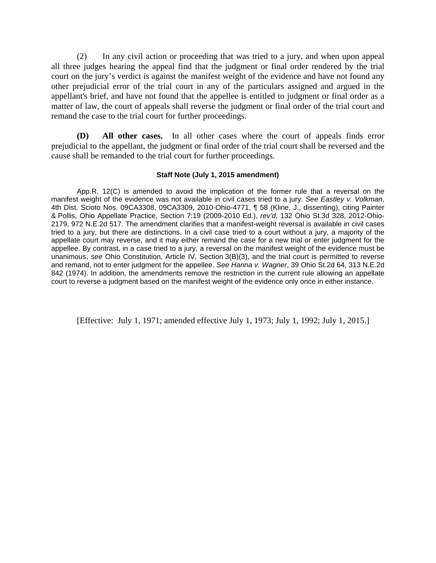(2) In any civil action or proceeding that was tried to a jury, and when upon appeal all three judges hearing the appeal find that the judgment or final order rendered by the trial court on the jury's verdict is against the manifest weight of the evidence and have not found any other prejudicial error of the trial court in any of the particulars assigned and argued in the appellant's brief, and have not found that the appellee is entitled to judgment or final order as a matter of law, the court of appeals shall reverse the judgment or final order of the trial court and remand the case to the trial court for further proceedings.

**(D) All other cases.** In all other cases where the court of appeals finds error prejudicial to the appellant, the judgment or final order of the trial court shall be reversed and the cause shall be remanded to the trial court for further proceedings.

#### **Staff Note (July 1, 2015 amendment)**

App.R. 12(C) is amended to avoid the implication of the former rule that a reversal on the manifest weight of the evidence was not available in civil cases tried to a jury. *See Eastley v. Volkman*, 4th Dist. Scioto Nos. 09CA3308, 09CA3309, 2010-Ohio-4771, ¶ 58 (Kline, J., dissenting), citing Painter & Pollis, Ohio Appellate Practice, Section 7:19 (2009-2010 Ed.), *rev'd*, 132 Ohio St.3d 328, 2012-Ohio-2179, 972 N.E.2d 517. The amendment clarifies that a manifest-weight reversal is available in civil cases tried to a jury, but there are distinctions. In a civil case tried to a court without a jury, a majority of the appellate court may reverse, and it may either remand the case for a new trial or enter judgment for the appellee. By contrast, in a case tried to a jury, a reversal on the manifest weight of the evidence must be unanimous, *see* Ohio Constitution, Article IV, Section 3(B)(3), and the trial court is permitted to reverse and remand, not to enter judgment for the appellee. *See Hanna v. Wagner*, 39 Ohio St.2d 64, 313 N.E.2d 842 (1974). In addition, the amendments remove the restriction in the current rule allowing an appellate court to reverse a judgment based on the manifest weight of the evidence only once in either instance.

[Effective: July 1, 1971; amended effective July 1, 1973; July 1, 1992; July 1, 2015.]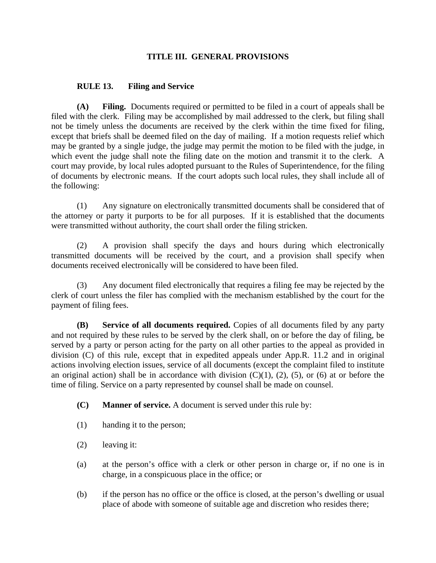# **TITLE III. GENERAL PROVISIONS**

# **RULE 13. Filing and Service**

**(A) Filing.** Documents required or permitted to be filed in a court of appeals shall be filed with the clerk. Filing may be accomplished by mail addressed to the clerk, but filing shall not be timely unless the documents are received by the clerk within the time fixed for filing, except that briefs shall be deemed filed on the day of mailing. If a motion requests relief which may be granted by a single judge, the judge may permit the motion to be filed with the judge, in which event the judge shall note the filing date on the motion and transmit it to the clerk. A court may provide, by local rules adopted pursuant to the Rules of Superintendence, for the filing of documents by electronic means. If the court adopts such local rules, they shall include all of the following:

(1) Any signature on electronically transmitted documents shall be considered that of the attorney or party it purports to be for all purposes. If it is established that the documents were transmitted without authority, the court shall order the filing stricken.

(2) A provision shall specify the days and hours during which electronically transmitted documents will be received by the court, and a provision shall specify when documents received electronically will be considered to have been filed.

(3) Any document filed electronically that requires a filing fee may be rejected by the clerk of court unless the filer has complied with the mechanism established by the court for the payment of filing fees.

**(B) Service of all documents required.** Copies of all documents filed by any party and not required by these rules to be served by the clerk shall, on or before the day of filing, be served by a party or person acting for the party on all other parties to the appeal as provided in division (C) of this rule, except that in expedited appeals under App.R. 11.2 and in original actions involving election issues, service of all documents (except the complaint filed to institute an original action) shall be in accordance with division  $(C)(1)$ ,  $(2)$ ,  $(5)$ , or  $(6)$  at or before the time of filing. Service on a party represented by counsel shall be made on counsel.

- **(C) Manner of service.** A document is served under this rule by:
- (1) handing it to the person;
- (2) leaving it:
- (a) at the person's office with a clerk or other person in charge or, if no one is in charge, in a conspicuous place in the office; or
- (b) if the person has no office or the office is closed, at the person's dwelling or usual place of abode with someone of suitable age and discretion who resides there;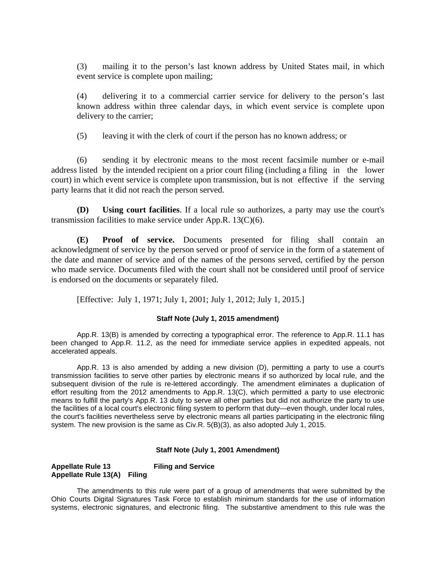(3) mailing it to the person's last known address by United States mail, in which event service is complete upon mailing;

(4) delivering it to a commercial carrier service for delivery to the person's last known address within three calendar days, in which event service is complete upon delivery to the carrier;

(5) leaving it with the clerk of court if the person has no known address; or

(6) sending it by electronic means to the most recent facsimile number or e-mail address listed by the intended recipient on a prior court filing (including a filing in the lower court) in which event service is complete upon transmission, but is not effective if the serving party learns that it did not reach the person served.

**(D) Using court facilities**. If a local rule so authorizes, a party may use the court's transmission facilities to make service under App.R. 13(C)(6).

**(E) Proof of service.** Documents presented for filing shall contain an acknowledgment of service by the person served or proof of service in the form of a statement of the date and manner of service and of the names of the persons served, certified by the person who made service. Documents filed with the court shall not be considered until proof of service is endorsed on the documents or separately filed.

[Effective: July 1, 1971; July 1, 2001; July 1, 2012; July 1, 2015.]

#### **Staff Note (July 1, 2015 amendment)**

App.R. 13(B) is amended by correcting a typographical error. The reference to App.R. 11.1 has been changed to App.R. 11.2, as the need for immediate service applies in expedited appeals, not accelerated appeals.

App.R. 13 is also amended by adding a new division (D), permitting a party to use a court's transmission facilities to serve other parties by electronic means if so authorized by local rule, and the subsequent division of the rule is re-lettered accordingly. The amendment eliminates a duplication of effort resulting from the 2012 amendments to App.R. 13(C), which permitted a party to use electronic means to fulfill the party's App.R. 13 duty to serve all other parties but did not authorize the party to use the facilities of a local court's electronic filing system to perform that duty—even though, under local rules, the court's facilities nevertheless serve by electronic means all parties participating in the electronic filing system. The new provision is the same as Civ.R. 5(B)(3), as also adopted July 1, 2015.

#### **Staff Note (July 1, 2001 Amendment)**

**Appellate Rule 13 Filing and Service Appellate Rule 13(A) Filing**

The amendments to this rule were part of a group of amendments that were submitted by the Ohio Courts Digital Signatures Task Force to establish minimum standards for the use of information systems, electronic signatures, and electronic filing. The substantive amendment to this rule was the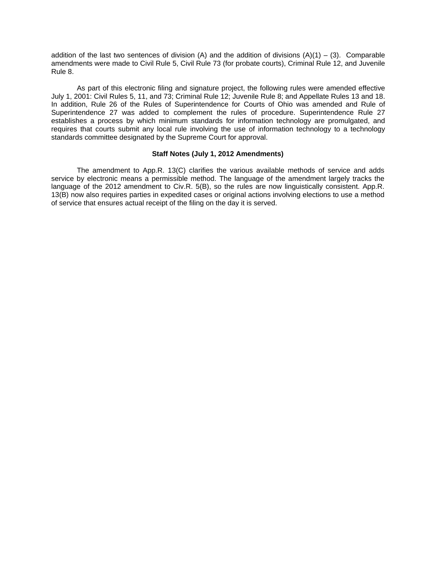addition of the last two sentences of division (A) and the addition of divisions  $(A)(1) - (3)$ . Comparable amendments were made to Civil Rule 5, Civil Rule 73 (for probate courts), Criminal Rule 12, and Juvenile Rule 8.

As part of this electronic filing and signature project, the following rules were amended effective July 1, 2001: Civil Rules 5, 11, and 73; Criminal Rule 12; Juvenile Rule 8; and Appellate Rules 13 and 18. In addition, Rule 26 of the Rules of Superintendence for Courts of Ohio was amended and Rule of Superintendence 27 was added to complement the rules of procedure. Superintendence Rule 27 establishes a process by which minimum standards for information technology are promulgated, and requires that courts submit any local rule involving the use of information technology to a technology standards committee designated by the Supreme Court for approval.

#### **Staff Notes (July 1, 2012 Amendments)**

The amendment to App.R. 13(C) clarifies the various available methods of service and adds service by electronic means a permissible method. The language of the amendment largely tracks the language of the 2012 amendment to Civ.R. 5(B), so the rules are now linguistically consistent. App.R. 13(B) now also requires parties in expedited cases or original actions involving elections to use a method of service that ensures actual receipt of the filing on the day it is served.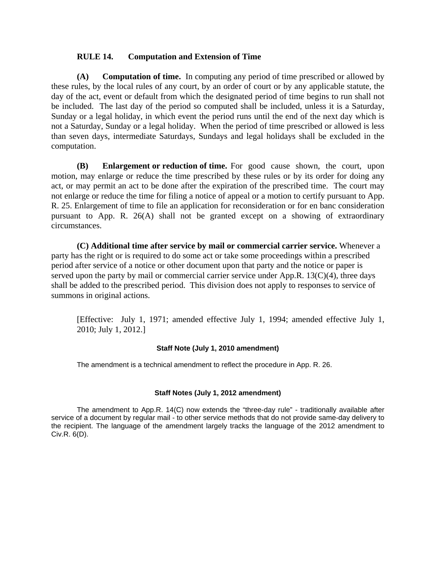## **RULE 14. Computation and Extension of Time**

**(A) Computation of time.** In computing any period of time prescribed or allowed by these rules, by the local rules of any court, by an order of court or by any applicable statute, the day of the act, event or default from which the designated period of time begins to run shall not be included. The last day of the period so computed shall be included, unless it is a Saturday, Sunday or a legal holiday, in which event the period runs until the end of the next day which is not a Saturday, Sunday or a legal holiday. When the period of time prescribed or allowed is less than seven days, intermediate Saturdays, Sundays and legal holidays shall be excluded in the computation.

**(B) Enlargement or reduction of time.** For good cause shown, the court, upon motion, may enlarge or reduce the time prescribed by these rules or by its order for doing any act, or may permit an act to be done after the expiration of the prescribed time. The court may not enlarge or reduce the time for filing a notice of appeal or a motion to certify pursuant to App. R. 25. Enlargement of time to file an application for reconsideration or for en banc consideration pursuant to App. R. 26(A) shall not be granted except on a showing of extraordinary circumstances.

**(C) Additional time after service by mail or commercial carrier service.** Whenever a party has the right or is required to do some act or take some proceedings within a prescribed period after service of a notice or other document upon that party and the notice or paper is served upon the party by mail or commercial carrier service under App.R.  $13(C)(4)$ , three days shall be added to the prescribed period. This division does not apply to responses to service of summons in original actions.

[Effective: July 1, 1971; amended effective July 1, 1994; amended effective July 1, 2010; July 1, 2012.]

#### **Staff Note (July 1, 2010 amendment)**

The amendment is a technical amendment to reflect the procedure in App. R. 26.

#### **Staff Notes (July 1, 2012 amendment)**

The amendment to App.R. 14(C) now extends the "three-day rule" - traditionally available after service of a document by regular mail - to other service methods that do not provide same-day delivery to the recipient. The language of the amendment largely tracks the language of the 2012 amendment to Civ.R. 6(D).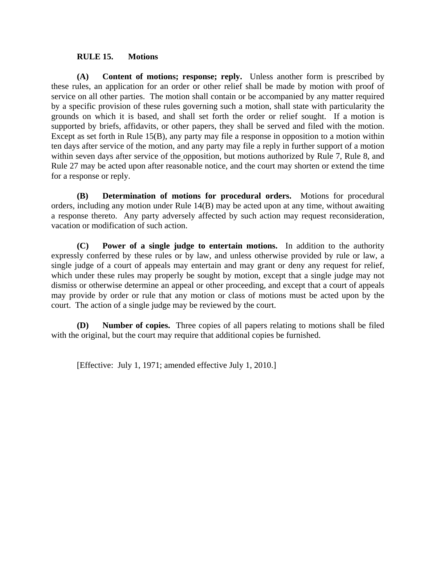### **RULE 15. Motions**

**(A) Content of motions; response; reply.** Unless another form is prescribed by these rules, an application for an order or other relief shall be made by motion with proof of service on all other parties. The motion shall contain or be accompanied by any matter required by a specific provision of these rules governing such a motion, shall state with particularity the grounds on which it is based, and shall set forth the order or relief sought. If a motion is supported by briefs, affidavits, or other papers, they shall be served and filed with the motion. Except as set forth in Rule 15(B), any party may file a response in opposition to a motion within ten days after service of the motion, and any party may file a reply in further support of a motion within seven days after service of the opposition, but motions authorized by Rule 7, Rule 8, and Rule 27 may be acted upon after reasonable notice, and the court may shorten or extend the time for a response or reply.

**(B) Determination of motions for procedural orders.** Motions for procedural orders, including any motion under Rule 14(B) may be acted upon at any time, without awaiting a response thereto. Any party adversely affected by such action may request reconsideration, vacation or modification of such action.

**(C) Power of a single judge to entertain motions.** In addition to the authority expressly conferred by these rules or by law, and unless otherwise provided by rule or law, a single judge of a court of appeals may entertain and may grant or deny any request for relief, which under these rules may properly be sought by motion, except that a single judge may not dismiss or otherwise determine an appeal or other proceeding, and except that a court of appeals may provide by order or rule that any motion or class of motions must be acted upon by the court. The action of a single judge may be reviewed by the court.

**(D) Number of copies.** Three copies of all papers relating to motions shall be filed with the original, but the court may require that additional copies be furnished.

[Effective: July 1, 1971; amended effective July 1, 2010.]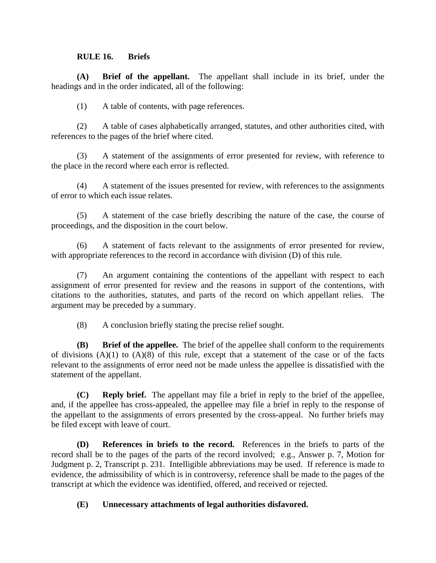### **RULE 16. Briefs**

**(A) Brief of the appellant.** The appellant shall include in its brief, under the headings and in the order indicated, all of the following:

(1) A table of contents, with page references.

(2) A table of cases alphabetically arranged, statutes, and other authorities cited, with references to the pages of the brief where cited.

(3) A statement of the assignments of error presented for review, with reference to the place in the record where each error is reflected.

(4) A statement of the issues presented for review, with references to the assignments of error to which each issue relates.

(5) A statement of the case briefly describing the nature of the case, the course of proceedings, and the disposition in the court below.

(6) A statement of facts relevant to the assignments of error presented for review, with appropriate references to the record in accordance with division (D) of this rule.

(7) An argument containing the contentions of the appellant with respect to each assignment of error presented for review and the reasons in support of the contentions, with citations to the authorities, statutes, and parts of the record on which appellant relies. The argument may be preceded by a summary.

(8) A conclusion briefly stating the precise relief sought.

**(B) Brief of the appellee.** The brief of the appellee shall conform to the requirements of divisions  $(A)(1)$  to  $(A)(8)$  of this rule, except that a statement of the case or of the facts relevant to the assignments of error need not be made unless the appellee is dissatisfied with the statement of the appellant.

**(C) Reply brief.** The appellant may file a brief in reply to the brief of the appellee, and, if the appellee has cross-appealed, the appellee may file a brief in reply to the response of the appellant to the assignments of errors presented by the cross-appeal. No further briefs may be filed except with leave of court.

**(D) References in briefs to the record.** References in the briefs to parts of the record shall be to the pages of the parts of the record involved; e.g., Answer p. 7, Motion for Judgment p. 2, Transcript p. 231. Intelligible abbreviations may be used. If reference is made to evidence, the admissibility of which is in controversy, reference shall be made to the pages of the transcript at which the evidence was identified, offered, and received or rejected.

# **(E) Unnecessary attachments of legal authorities disfavored.**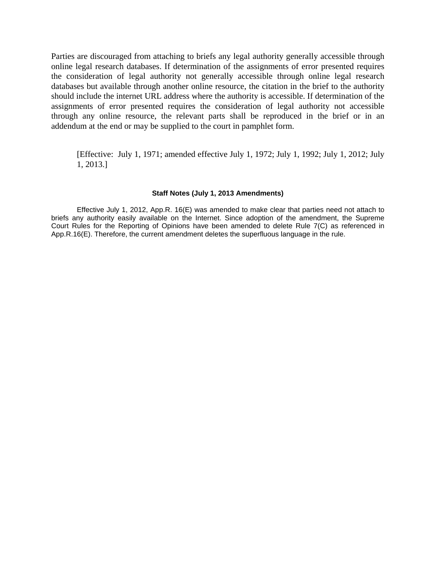Parties are discouraged from attaching to briefs any legal authority generally accessible through online legal research databases. If determination of the assignments of error presented requires the consideration of legal authority not generally accessible through online legal research databases but available through another online resource, the citation in the brief to the authority should include the internet URL address where the authority is accessible. If determination of the assignments of error presented requires the consideration of legal authority not accessible through any online resource, the relevant parts shall be reproduced in the brief or in an addendum at the end or may be supplied to the court in pamphlet form.

[Effective: July 1, 1971; amended effective July 1, 1972; July 1, 1992; July 1, 2012; July 1, 2013.]

#### **Staff Notes (July 1, 2013 Amendments)**

Effective July 1, 2012, App.R. 16(E) was amended to make clear that parties need not attach to briefs any authority easily available on the Internet. Since adoption of the amendment, the Supreme Court Rules for the Reporting of Opinions have been amended to delete Rule 7(C) as referenced in App.R.16(E). Therefore, the current amendment deletes the superfluous language in the rule.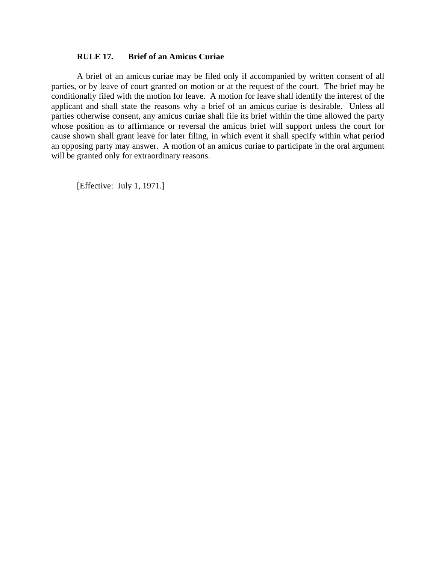### **RULE 17. Brief of an Amicus Curiae**

A brief of an amicus curiae may be filed only if accompanied by written consent of all parties, or by leave of court granted on motion or at the request of the court. The brief may be conditionally filed with the motion for leave. A motion for leave shall identify the interest of the applicant and shall state the reasons why a brief of an amicus curiae is desirable. Unless all parties otherwise consent, any amicus curiae shall file its brief within the time allowed the party whose position as to affirmance or reversal the amicus brief will support unless the court for cause shown shall grant leave for later filing, in which event it shall specify within what period an opposing party may answer. A motion of an amicus curiae to participate in the oral argument will be granted only for extraordinary reasons.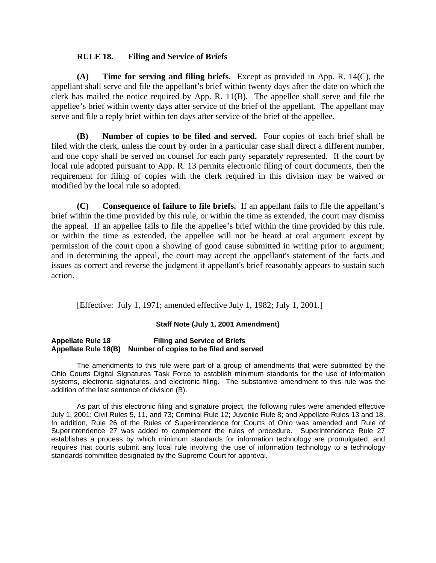### **RULE 18. Filing and Service of Briefs**

**(A) Time for serving and filing briefs.** Except as provided in App. R. 14(C), the appellant shall serve and file the appellant's brief within twenty days after the date on which the clerk has mailed the notice required by App. R. 11(B). The appellee shall serve and file the appellee's brief within twenty days after service of the brief of the appellant. The appellant may serve and file a reply brief within ten days after service of the brief of the appellee.

**(B) Number of copies to be filed and served.** Four copies of each brief shall be filed with the clerk, unless the court by order in a particular case shall direct a different number, and one copy shall be served on counsel for each party separately represented. If the court by local rule adopted pursuant to App. R. 13 permits electronic filing of court documents, then the requirement for filing of copies with the clerk required in this division may be waived or modified by the local rule so adopted.

**(C) Consequence of failure to file briefs.** If an appellant fails to file the appellant's brief within the time provided by this rule, or within the time as extended, the court may dismiss the appeal. If an appellee fails to file the appellee's brief within the time provided by this rule, or within the time as extended, the appellee will not be heard at oral argument except by permission of the court upon a showing of good cause submitted in writing prior to argument; and in determining the appeal, the court may accept the appellant's statement of the facts and issues as correct and reverse the judgment if appellant's brief reasonably appears to sustain such action.

[Effective: July 1, 1971; amended effective July 1, 1982; July 1, 2001.]

#### **Staff Note (July 1, 2001 Amendment)**

#### **Appellate Rule 18 Filing and Service of Briefs Appellate Rule 18(B) Number of copies to be filed and served**

The amendments to this rule were part of a group of amendments that were submitted by the Ohio Courts Digital Signatures Task Force to establish minimum standards for the use of information systems, electronic signatures, and electronic filing. The substantive amendment to this rule was the addition of the last sentence of division (B).

As part of this electronic filing and signature project, the following rules were amended effective July 1, 2001: Civil Rules 5, 11, and 73; Criminal Rule 12; Juvenile Rule 8; and Appellate Rules 13 and 18. In addition, Rule 26 of the Rules of Superintendence for Courts of Ohio was amended and Rule of Superintendence 27 was added to complement the rules of procedure. Superintendence Rule 27 establishes a process by which minimum standards for information technology are promulgated, and requires that courts submit any local rule involving the use of information technology to a technology standards committee designated by the Supreme Court for approval.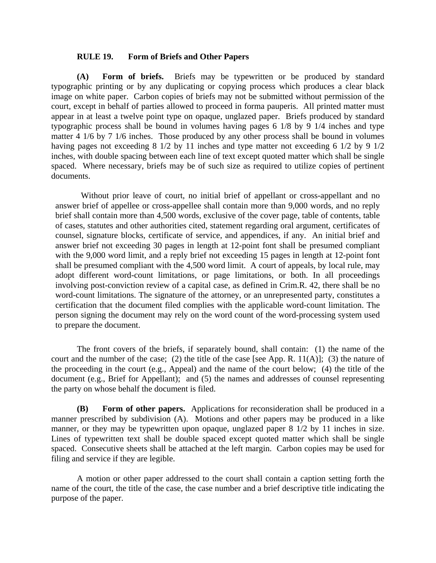#### **RULE 19. Form of Briefs and Other Papers**

**(A) Form of briefs.** Briefs may be typewritten or be produced by standard typographic printing or by any duplicating or copying process which produces a clear black image on white paper. Carbon copies of briefs may not be submitted without permission of the court, except in behalf of parties allowed to proceed in forma pauperis. All printed matter must appear in at least a twelve point type on opaque, unglazed paper. Briefs produced by standard typographic process shall be bound in volumes having pages 6 1/8 by 9 1/4 inches and type matter 4 1/6 by 7 1/6 inches. Those produced by any other process shall be bound in volumes having pages not exceeding 8 1/2 by 11 inches and type matter not exceeding 6 1/2 by 9 1/2 inches, with double spacing between each line of text except quoted matter which shall be single spaced. Where necessary, briefs may be of such size as required to utilize copies of pertinent documents.

Without prior leave of court, no initial brief of appellant or cross-appellant and no answer brief of appellee or cross-appellee shall contain more than 9,000 words, and no reply brief shall contain more than 4,500 words, exclusive of the cover page, table of contents, table of cases, statutes and other authorities cited, statement regarding oral argument, certificates of counsel, signature blocks, certificate of service, and appendices, if any. An initial brief and answer brief not exceeding 30 pages in length at 12-point font shall be presumed compliant with the 9,000 word limit, and a reply brief not exceeding 15 pages in length at 12-point font shall be presumed compliant with the 4,500 word limit. A court of appeals, by local rule, may adopt different word-count limitations, or page limitations, or both. In all proceedings involving post-conviction review of a capital case, as defined in Crim.R. 42, there shall be no word-count limitations. The signature of the attorney, or an unrepresented party, constitutes a certification that the document filed complies with the applicable word-count limitation. The person signing the document may rely on the word count of the word-processing system used to prepare the document.

The front covers of the briefs, if separately bound, shall contain: (1) the name of the court and the number of the case; (2) the title of the case [see App. R. 11(A)]; (3) the nature of the proceeding in the court (e.g., Appeal) and the name of the court below; (4) the title of the document (e.g., Brief for Appellant); and (5) the names and addresses of counsel representing the party on whose behalf the document is filed.

**(B) Form of other papers.** Applications for reconsideration shall be produced in a manner prescribed by subdivision (A). Motions and other papers may be produced in a like manner, or they may be typewritten upon opaque, unglazed paper 8 1/2 by 11 inches in size. Lines of typewritten text shall be double spaced except quoted matter which shall be single spaced. Consecutive sheets shall be attached at the left margin. Carbon copies may be used for filing and service if they are legible.

A motion or other paper addressed to the court shall contain a caption setting forth the name of the court, the title of the case, the case number and a brief descriptive title indicating the purpose of the paper.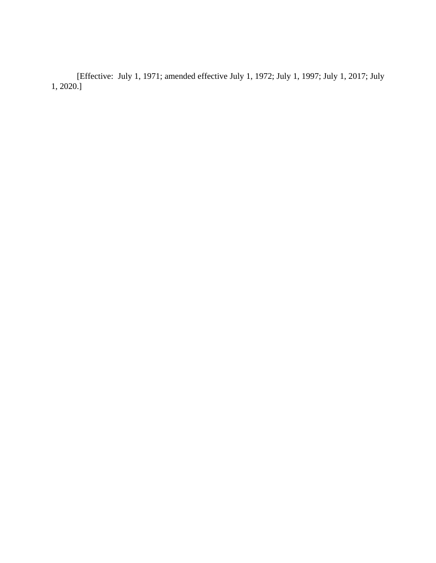[Effective: July 1, 1971; amended effective July 1, 1972; July 1, 1997; July 1, 2017; July 1, 2020.]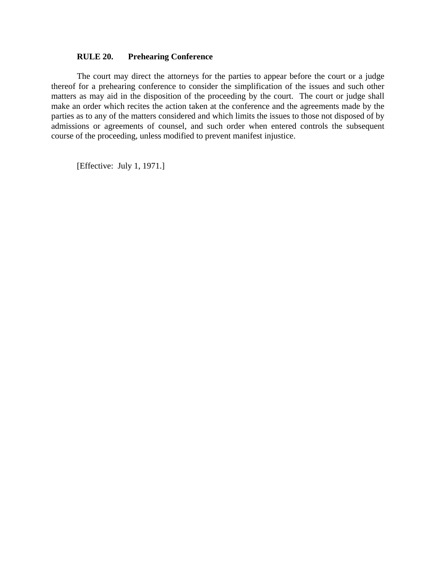### **RULE 20. Prehearing Conference**

The court may direct the attorneys for the parties to appear before the court or a judge thereof for a prehearing conference to consider the simplification of the issues and such other matters as may aid in the disposition of the proceeding by the court. The court or judge shall make an order which recites the action taken at the conference and the agreements made by the parties as to any of the matters considered and which limits the issues to those not disposed of by admissions or agreements of counsel, and such order when entered controls the subsequent course of the proceeding, unless modified to prevent manifest injustice.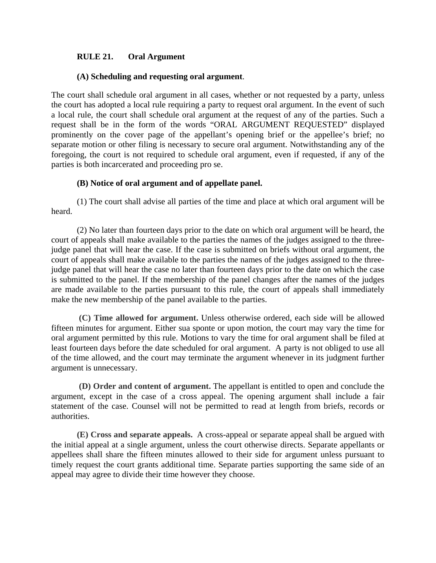# **RULE 21. Oral Argument**

### **(A) Scheduling and requesting oral argument**.

The court shall schedule oral argument in all cases, whether or not requested by a party, unless the court has adopted a local rule requiring a party to request oral argument. In the event of such a local rule, the court shall schedule oral argument at the request of any of the parties. Such a request shall be in the form of the words "ORAL ARGUMENT REQUESTED" displayed prominently on the cover page of the appellant's opening brief or the appellee's brief; no separate motion or other filing is necessary to secure oral argument. Notwithstanding any of the foregoing, the court is not required to schedule oral argument, even if requested, if any of the parties is both incarcerated and proceeding pro se.

# **(B) Notice of oral argument and of appellate panel.**

(1) The court shall advise all parties of the time and place at which oral argument will be heard.

(2) No later than fourteen days prior to the date on which oral argument will be heard, the court of appeals shall make available to the parties the names of the judges assigned to the threejudge panel that will hear the case. If the case is submitted on briefs without oral argument, the court of appeals shall make available to the parties the names of the judges assigned to the threejudge panel that will hear the case no later than fourteen days prior to the date on which the case is submitted to the panel. If the membership of the panel changes after the names of the judges are made available to the parties pursuant to this rule, the court of appeals shall immediately make the new membership of the panel available to the parties.

**(C) Time allowed for argument.** Unless otherwise ordered, each side will be allowed fifteen minutes for argument. Either sua sponte or upon motion, the court may vary the time for oral argument permitted by this rule. Motions to vary the time for oral argument shall be filed at least fourteen days before the date scheduled for oral argument. A party is not obliged to use all of the time allowed, and the court may terminate the argument whenever in its judgment further argument is unnecessary.

**(D) Order and content of argument.** The appellant is entitled to open and conclude the argument, except in the case of a cross appeal. The opening argument shall include a fair statement of the case. Counsel will not be permitted to read at length from briefs, records or authorities.

**(E) Cross and separate appeals.** A cross-appeal or separate appeal shall be argued with the initial appeal at a single argument, unless the court otherwise directs. Separate appellants or appellees shall share the fifteen minutes allowed to their side for argument unless pursuant to timely request the court grants additional time. Separate parties supporting the same side of an appeal may agree to divide their time however they choose.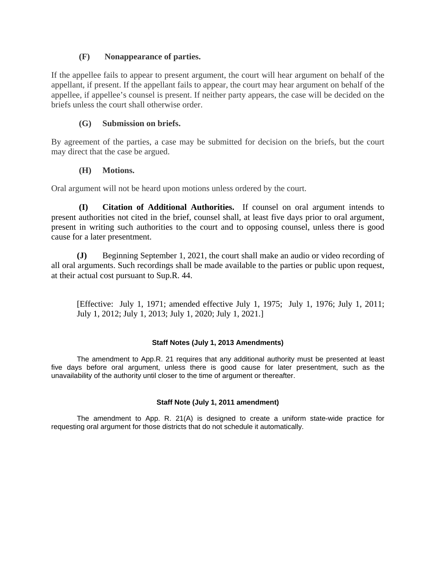# **(F) Nonappearance of parties.**

If the appellee fails to appear to present argument, the court will hear argument on behalf of the appellant, if present. If the appellant fails to appear, the court may hear argument on behalf of the appellee, if appellee's counsel is present. If neither party appears, the case will be decided on the briefs unless the court shall otherwise order.

# **(G) Submission on briefs.**

By agreement of the parties, a case may be submitted for decision on the briefs, but the court may direct that the case be argued.

# **(H) Motions.**

Oral argument will not be heard upon motions unless ordered by the court.

**(I) Citation of Additional Authorities.** If counsel on oral argument intends to present authorities not cited in the brief, counsel shall, at least five days prior to oral argument, present in writing such authorities to the court and to opposing counsel, unless there is good cause for a later presentment.

**(J)** Beginning September 1, 2021, the court shall make an audio or video recording of all oral arguments. Such recordings shall be made available to the parties or public upon request, at their actual cost pursuant to Sup.R. 44.

[Effective: July 1, 1971; amended effective July 1, 1975; July 1, 1976; July 1, 2011; July 1, 2012; July 1, 2013; July 1, 2020; July 1, 2021.]

# **Staff Notes (July 1, 2013 Amendments)**

The amendment to App.R. 21 requires that any additional authority must be presented at least five days before oral argument, unless there is good cause for later presentment, such as the unavailability of the authority until closer to the time of argument or thereafter.

#### **Staff Note (July 1, 2011 amendment)**

The amendment to App. R. 21(A) is designed to create a uniform state-wide practice for requesting oral argument for those districts that do not schedule it automatically.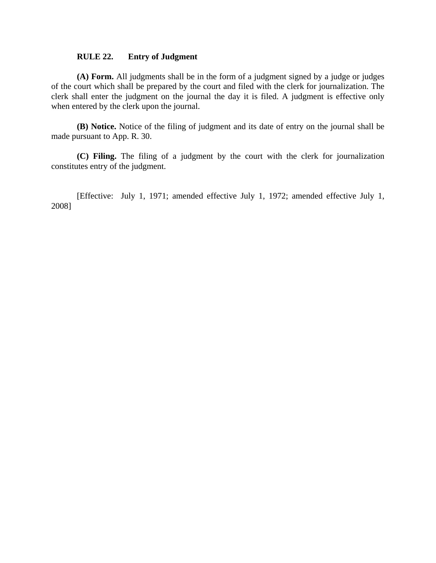### **RULE 22. Entry of Judgment**

**(A) Form.** All judgments shall be in the form of a judgment signed by a judge or judges of the court which shall be prepared by the court and filed with the clerk for journalization. The clerk shall enter the judgment on the journal the day it is filed. A judgment is effective only when entered by the clerk upon the journal.

**(B) Notice.** Notice of the filing of judgment and its date of entry on the journal shall be made pursuant to App. R. 30.

**(C) Filing.** The filing of a judgment by the court with the clerk for journalization constitutes entry of the judgment.

[Effective: July 1, 1971; amended effective July 1, 1972; amended effective July 1, 2008]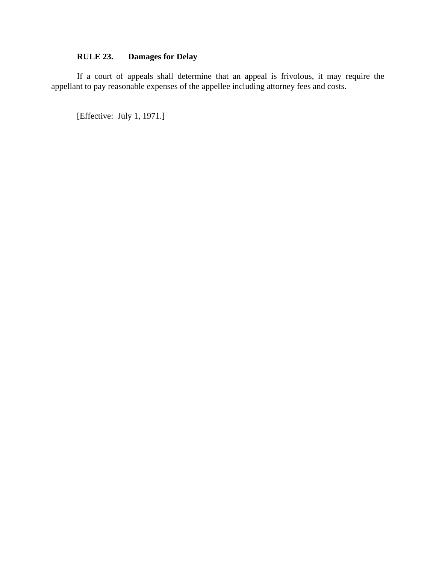# **RULE 23. Damages for Delay**

If a court of appeals shall determine that an appeal is frivolous, it may require the appellant to pay reasonable expenses of the appellee including attorney fees and costs.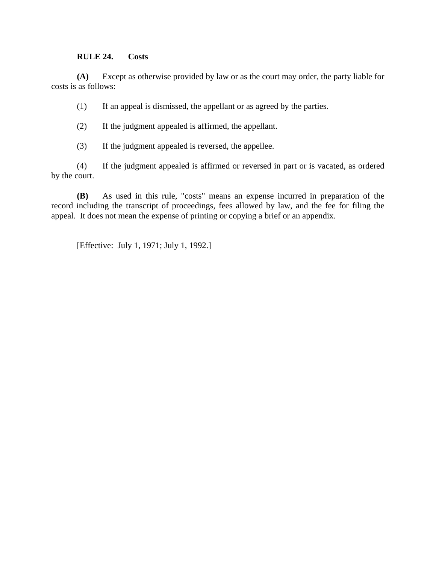# **RULE 24. Costs**

**(A)** Except as otherwise provided by law or as the court may order, the party liable for costs is as follows:

(1) If an appeal is dismissed, the appellant or as agreed by the parties.

(2) If the judgment appealed is affirmed, the appellant.

(3) If the judgment appealed is reversed, the appellee.

(4) If the judgment appealed is affirmed or reversed in part or is vacated, as ordered by the court.

**(B)** As used in this rule, "costs" means an expense incurred in preparation of the record including the transcript of proceedings, fees allowed by law, and the fee for filing the appeal. It does not mean the expense of printing or copying a brief or an appendix.

[Effective: July 1, 1971; July 1, 1992.]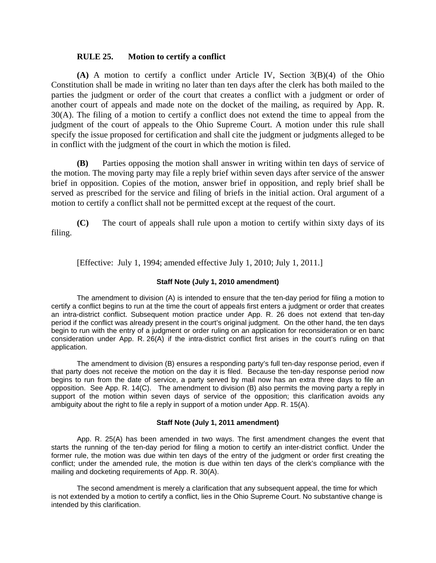### **RULE 25. Motion to certify a conflict**

**(A)** A motion to certify a conflict under Article IV, Section 3(B)(4) of the Ohio Constitution shall be made in writing no later than ten days after the clerk has both mailed to the parties the judgment or order of the court that creates a conflict with a judgment or order of another court of appeals and made note on the docket of the mailing, as required by App. R. 30(A). The filing of a motion to certify a conflict does not extend the time to appeal from the judgment of the court of appeals to the Ohio Supreme Court. A motion under this rule shall specify the issue proposed for certification and shall cite the judgment or judgments alleged to be in conflict with the judgment of the court in which the motion is filed.

**(B)** Parties opposing the motion shall answer in writing within ten days of service of the motion. The moving party may file a reply brief within seven days after service of the answer brief in opposition. Copies of the motion, answer brief in opposition, and reply brief shall be served as prescribed for the service and filing of briefs in the initial action. Oral argument of a motion to certify a conflict shall not be permitted except at the request of the court.

**(C)** The court of appeals shall rule upon a motion to certify within sixty days of its filing.

[Effective: July 1, 1994; amended effective July 1, 2010; July 1, 2011.]

#### **Staff Note (July 1, 2010 amendment)**

The amendment to division (A) is intended to ensure that the ten-day period for filing a motion to certify a conflict begins to run at the time the court of appeals first enters a judgment or order that creates an intra-district conflict. Subsequent motion practice under App. R. 26 does not extend that ten-day period if the conflict was already present in the court's original judgment. On the other hand, the ten days begin to run with the entry of a judgment or order ruling on an application for reconsideration or en banc consideration under App. R. 26(A) if the intra-district conflict first arises in the court's ruling on that application.

The amendment to division (B) ensures a responding party's full ten-day response period, even if that party does not receive the motion on the day it is filed. Because the ten-day response period now begins to run from the date of service, a party served by mail now has an extra three days to file an opposition. See App. R. 14(C). The amendment to division (B) also permits the moving party a reply in support of the motion within seven days of service of the opposition; this clarification avoids any ambiguity about the right to file a reply in support of a motion under App. R. 15(A).

#### **Staff Note (July 1, 2011 amendment)**

App. R. 25(A) has been amended in two ways. The first amendment changes the event that starts the running of the ten-day period for filing a motion to certify an inter-district conflict. Under the former rule, the motion was due within ten days of the entry of the judgment or order first creating the conflict; under the amended rule, the motion is due within ten days of the clerk's compliance with the mailing and docketing requirements of App. R. 30(A).

The second amendment is merely a clarification that any subsequent appeal, the time for which is not extended by a motion to certify a conflict, lies in the Ohio Supreme Court. No substantive change is intended by this clarification.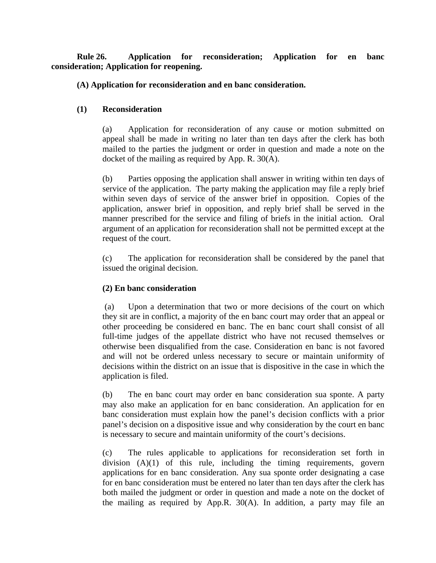**Rule 26. Application for reconsideration; Application for en banc consideration; Application for reopening.**

**(A) Application for reconsideration and en banc consideration.**

# **(1) Reconsideration**

(a) Application for reconsideration of any cause or motion submitted on appeal shall be made in writing no later than ten days after the clerk has both mailed to the parties the judgment or order in question and made a note on the docket of the mailing as required by App. R. 30(A).

(b) Parties opposing the application shall answer in writing within ten days of service of the application. The party making the application may file a reply brief within seven days of service of the answer brief in opposition. Copies of the application, answer brief in opposition, and reply brief shall be served in the manner prescribed for the service and filing of briefs in the initial action. Oral argument of an application for reconsideration shall not be permitted except at the request of the court.

(c) The application for reconsideration shall be considered by the panel that issued the original decision.

# **(2) En banc consideration**

(a) Upon a determination that two or more decisions of the court on which they sit are in conflict, a majority of the en banc court may order that an appeal or other proceeding be considered en banc. The en banc court shall consist of all full-time judges of the appellate district who have not recused themselves or otherwise been disqualified from the case. Consideration en banc is not favored and will not be ordered unless necessary to secure or maintain uniformity of decisions within the district on an issue that is dispositive in the case in which the application is filed.

(b) The en banc court may order en banc consideration sua sponte. A party may also make an application for en banc consideration. An application for en banc consideration must explain how the panel's decision conflicts with a prior panel's decision on a dispositive issue and why consideration by the court en banc is necessary to secure and maintain uniformity of the court's decisions.

(c) The rules applicable to applications for reconsideration set forth in division (A)(1) of this rule, including the timing requirements, govern applications for en banc consideration. Any sua sponte order designating a case for en banc consideration must be entered no later than ten days after the clerk has both mailed the judgment or order in question and made a note on the docket of the mailing as required by App.R. 30(A). In addition, a party may file an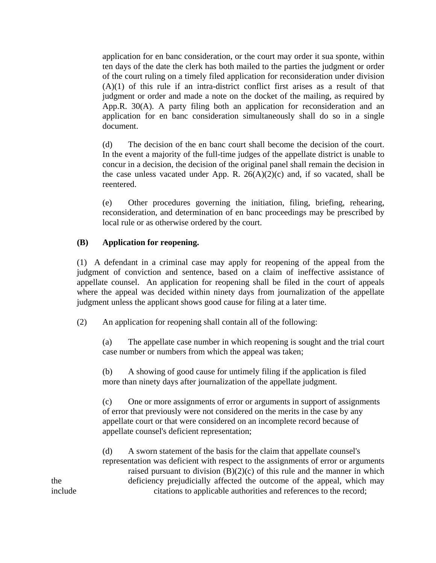application for en banc consideration, or the court may order it sua sponte, within ten days of the date the clerk has both mailed to the parties the judgment or order of the court ruling on a timely filed application for reconsideration under division (A)(1) of this rule if an intra-district conflict first arises as a result of that judgment or order and made a note on the docket of the mailing, as required by App.R. 30(A). A party filing both an application for reconsideration and an application for en banc consideration simultaneously shall do so in a single document.

(d) The decision of the en banc court shall become the decision of the court. In the event a majority of the full-time judges of the appellate district is unable to concur in a decision, the decision of the original panel shall remain the decision in the case unless vacated under App. R.  $26(A)(2)(c)$  and, if so vacated, shall be reentered.

(e) Other procedures governing the initiation, filing, briefing, rehearing, reconsideration, and determination of en banc proceedings may be prescribed by local rule or as otherwise ordered by the court.

# **(B) Application for reopening.**

(1) A defendant in a criminal case may apply for reopening of the appeal from the judgment of conviction and sentence, based on a claim of ineffective assistance of appellate counsel. An application for reopening shall be filed in the court of appeals where the appeal was decided within ninety days from journalization of the appellate judgment unless the applicant shows good cause for filing at a later time.

(2) An application for reopening shall contain all of the following:

(a) The appellate case number in which reopening is sought and the trial court case number or numbers from which the appeal was taken;

(b) A showing of good cause for untimely filing if the application is filed more than ninety days after journalization of the appellate judgment.

(c) One or more assignments of error or arguments in support of assignments of error that previously were not considered on the merits in the case by any appellate court or that were considered on an incomplete record because of appellate counsel's deficient representation;

(d) A sworn statement of the basis for the claim that appellate counsel's representation was deficient with respect to the assignments of error or arguments raised pursuant to division  $(B)(2)(c)$  of this rule and the manner in which the deficiency prejudicially affected the outcome of the appeal, which may include citations to applicable authorities and references to the record;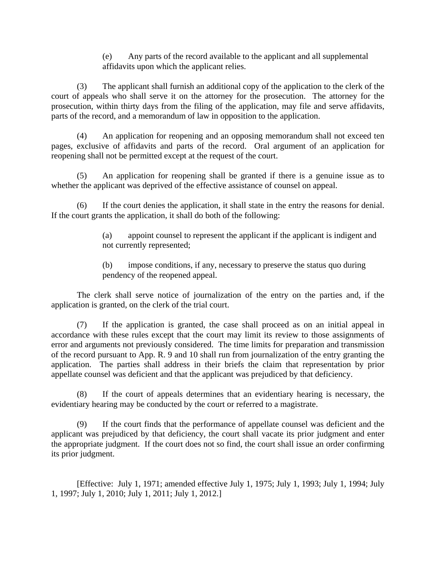(e) Any parts of the record available to the applicant and all supplemental affidavits upon which the applicant relies.

(3) The applicant shall furnish an additional copy of the application to the clerk of the court of appeals who shall serve it on the attorney for the prosecution. The attorney for the prosecution, within thirty days from the filing of the application, may file and serve affidavits, parts of the record, and a memorandum of law in opposition to the application.

(4) An application for reopening and an opposing memorandum shall not exceed ten pages, exclusive of affidavits and parts of the record. Oral argument of an application for reopening shall not be permitted except at the request of the court.

(5) An application for reopening shall be granted if there is a genuine issue as to whether the applicant was deprived of the effective assistance of counsel on appeal.

(6) If the court denies the application, it shall state in the entry the reasons for denial. If the court grants the application, it shall do both of the following:

> (a) appoint counsel to represent the applicant if the applicant is indigent and not currently represented;

(b) impose conditions, if any, necessary to preserve the status quo during pendency of the reopened appeal.

The clerk shall serve notice of journalization of the entry on the parties and, if the application is granted, on the clerk of the trial court.

(7) If the application is granted, the case shall proceed as on an initial appeal in accordance with these rules except that the court may limit its review to those assignments of error and arguments not previously considered. The time limits for preparation and transmission of the record pursuant to App. R. 9 and 10 shall run from journalization of the entry granting the application. The parties shall address in their briefs the claim that representation by prior appellate counsel was deficient and that the applicant was prejudiced by that deficiency.

(8) If the court of appeals determines that an evidentiary hearing is necessary, the evidentiary hearing may be conducted by the court or referred to a magistrate.

(9) If the court finds that the performance of appellate counsel was deficient and the applicant was prejudiced by that deficiency, the court shall vacate its prior judgment and enter the appropriate judgment. If the court does not so find, the court shall issue an order confirming its prior judgment.

[Effective: July 1, 1971; amended effective July 1, 1975; July 1, 1993; July 1, 1994; July 1, 1997; July 1, 2010; July 1, 2011; July 1, 2012.]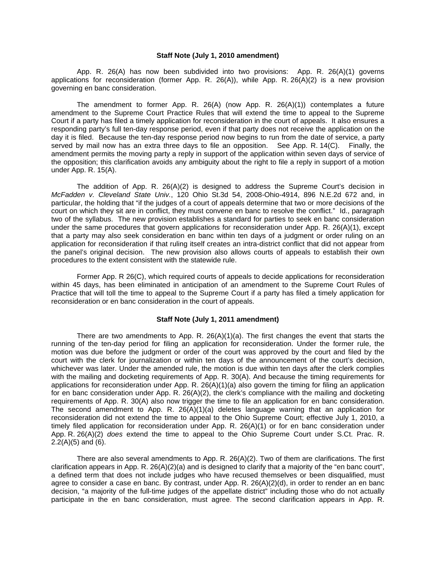#### **Staff Note (July 1, 2010 amendment)**

App. R. 26(A) has now been subdivided into two provisions: App. R. 26(A)(1) governs applications for reconsideration (former App. R. 26(A)), while App. R. 26(A)(2) is a new provision governing en banc consideration.

The amendment to former App. R. 26(A) (now App. R. 26(A)(1)) contemplates a future amendment to the Supreme Court Practice Rules that will extend the time to appeal to the Supreme Court if a party has filed a timely application for reconsideration in the court of appeals. It also ensures a responding party's full ten-day response period, even if that party does not receive the application on the day it is filed. Because the ten-day response period now begins to run from the date of service, a party served by mail now has an extra three days to file an opposition. See App. R. 14(C). Finally, the amendment permits the moving party a reply in support of the application within seven days of service of the opposition; this clarification avoids any ambiguity about the right to file a reply in support of a motion under App. R. 15(A).

The addition of App. R.  $26(A)(2)$  is designed to address the Supreme Court's decision in *McFadden v. Cleveland State Univ.*, 120 Ohio St.3d 54, 2008-Ohio-4914, 896 N.E.2d 672 and, in particular, the holding that "if the judges of a court of appeals determine that two or more decisions of the court on which they sit are in conflict, they must convene en banc to resolve the conflict." Id., paragraph two of the syllabus. The new provision establishes a standard for parties to seek en banc consideration under the same procedures that govern applications for reconsideration under App. R. 26(A)(1), except that a party may also seek consideration en banc within ten days of a judgment or order ruling on an application for reconsideration if that ruling itself creates an intra-district conflict that did not appear from the panel's original decision. The new provision also allows courts of appeals to establish their own procedures to the extent consistent with the statewide rule.

Former App. R 26(C), which required courts of appeals to decide applications for reconsideration within 45 days, has been eliminated in anticipation of an amendment to the Supreme Court Rules of Practice that will toll the time to appeal to the Supreme Court if a party has filed a timely application for reconsideration or en banc consideration in the court of appeals.

#### **Staff Note (July 1, 2011 amendment)**

There are two amendments to App. R.  $26(A)(1)(a)$ . The first changes the event that starts the running of the ten-day period for filing an application for reconsideration. Under the former rule, the motion was due before the judgment or order of the court was approved by the court and filed by the court with the clerk for journalization or within ten days of the announcement of the court's decision, whichever was later. Under the amended rule, the motion is due within ten days after the clerk complies with the mailing and docketing requirements of App. R. 30(A). And because the timing requirements for applications for reconsideration under App. R. 26(A)(1)(a) also govern the timing for filing an application for en banc consideration under App. R. 26(A)(2), the clerk's compliance with the mailing and docketing requirements of App. R. 30(A) also now trigger the time to file an application for en banc consideration. The second amendment to App. R. 26(A)(1)(a) deletes language warning that an application for reconsideration did not extend the time to appeal to the Ohio Supreme Court; effective July 1, 2010, a timely filed application for reconsideration under App. R. 26(A)(1) or for en banc consideration under App. R. 26(A)(2) *does* extend the time to appeal to the Ohio Supreme Court under S.Ct. Prac. R.  $2.2(A)(5)$  and  $(6)$ .

There are also several amendments to App. R. 26(A)(2). Two of them are clarifications. The first clarification appears in App. R.  $26(A)(2)(a)$  and is designed to clarify that a majority of the "en banc court", a defined term that does not include judges who have recused themselves or been disqualified, must agree to consider a case en banc. By contrast, under App. R. 26(A)(2)(d), in order to render an en banc decision, "a majority of the full-time judges of the appellate district" including those who do not actually participate in the en banc consideration, must agree. The second clarification appears in App. R.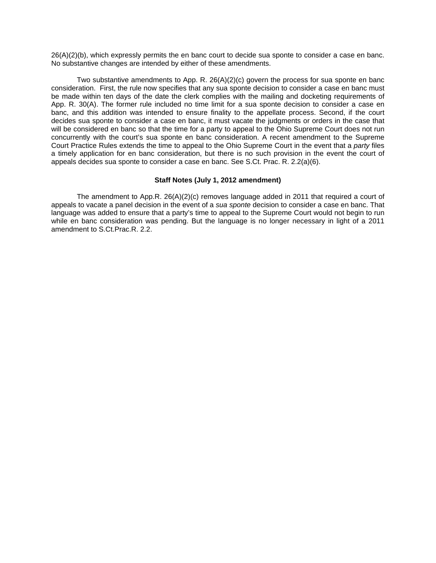26(A)(2)(b), which expressly permits the en banc court to decide sua sponte to consider a case en banc. No substantive changes are intended by either of these amendments.

Two substantive amendments to App. R. 26(A)(2)(c) govern the process for sua sponte en banc consideration. First, the rule now specifies that any sua sponte decision to consider a case en banc must be made within ten days of the date the clerk complies with the mailing and docketing requirements of App. R. 30(A). The former rule included no time limit for a sua sponte decision to consider a case en banc, and this addition was intended to ensure finality to the appellate process. Second, if the court decides sua sponte to consider a case en banc, it must vacate the judgments or orders in the case that will be considered en banc so that the time for a party to appeal to the Ohio Supreme Court does not run concurrently with the court's sua sponte en banc consideration. A recent amendment to the Supreme Court Practice Rules extends the time to appeal to the Ohio Supreme Court in the event that a *party* files a timely application for en banc consideration, but there is no such provision in the event the court of appeals decides sua sponte to consider a case en banc. See S.Ct. Prac. R. 2.2(a)(6).

#### **Staff Notes (July 1, 2012 amendment)**

The amendment to App.R. 26(A)(2)(c) removes language added in 2011 that required a court of appeals to vacate a panel decision in the event of a *sua sponte* decision to consider a case en banc. That language was added to ensure that a party's time to appeal to the Supreme Court would not begin to run while en banc consideration was pending. But the language is no longer necessary in light of a 2011 amendment to S.Ct.Prac.R. 2.2.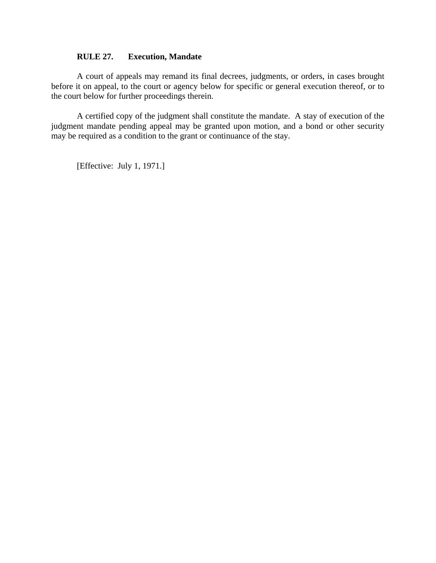# **RULE 27. Execution, Mandate**

A court of appeals may remand its final decrees, judgments, or orders, in cases brought before it on appeal, to the court or agency below for specific or general execution thereof, or to the court below for further proceedings therein.

A certified copy of the judgment shall constitute the mandate. A stay of execution of the judgment mandate pending appeal may be granted upon motion, and a bond or other security may be required as a condition to the grant or continuance of the stay.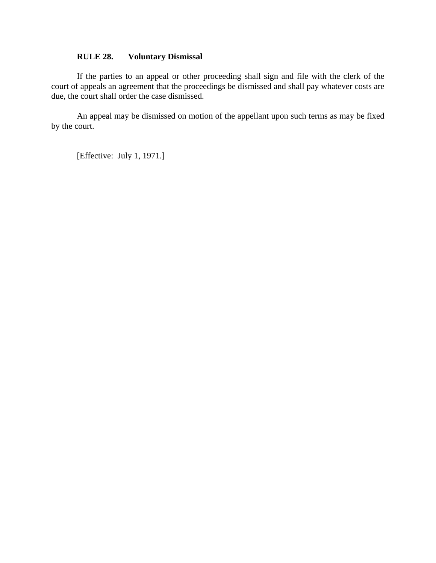# **RULE 28. Voluntary Dismissal**

If the parties to an appeal or other proceeding shall sign and file with the clerk of the court of appeals an agreement that the proceedings be dismissed and shall pay whatever costs are due, the court shall order the case dismissed.

An appeal may be dismissed on motion of the appellant upon such terms as may be fixed by the court.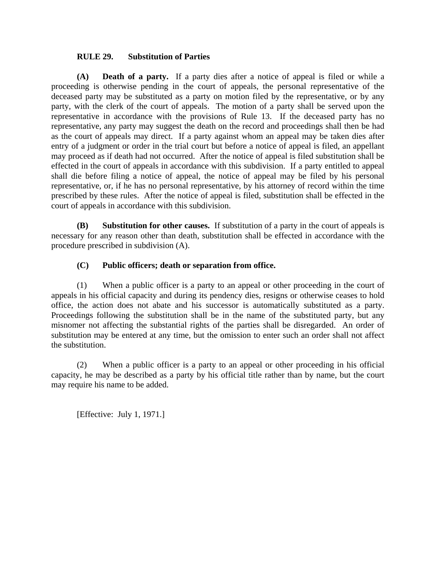# **RULE 29. Substitution of Parties**

**(A) Death of a party.** If a party dies after a notice of appeal is filed or while a proceeding is otherwise pending in the court of appeals, the personal representative of the deceased party may be substituted as a party on motion filed by the representative, or by any party, with the clerk of the court of appeals. The motion of a party shall be served upon the representative in accordance with the provisions of Rule 13. If the deceased party has no representative, any party may suggest the death on the record and proceedings shall then be had as the court of appeals may direct. If a party against whom an appeal may be taken dies after entry of a judgment or order in the trial court but before a notice of appeal is filed, an appellant may proceed as if death had not occurred. After the notice of appeal is filed substitution shall be effected in the court of appeals in accordance with this subdivision. If a party entitled to appeal shall die before filing a notice of appeal, the notice of appeal may be filed by his personal representative, or, if he has no personal representative, by his attorney of record within the time prescribed by these rules. After the notice of appeal is filed, substitution shall be effected in the court of appeals in accordance with this subdivision.

**(B) Substitution for other causes.** If substitution of a party in the court of appeals is necessary for any reason other than death, substitution shall be effected in accordance with the procedure prescribed in subdivision (A).

# **(C) Public officers; death or separation from office.**

(1) When a public officer is a party to an appeal or other proceeding in the court of appeals in his official capacity and during its pendency dies, resigns or otherwise ceases to hold office, the action does not abate and his successor is automatically substituted as a party. Proceedings following the substitution shall be in the name of the substituted party, but any misnomer not affecting the substantial rights of the parties shall be disregarded. An order of substitution may be entered at any time, but the omission to enter such an order shall not affect the substitution.

(2) When a public officer is a party to an appeal or other proceeding in his official capacity, he may be described as a party by his official title rather than by name, but the court may require his name to be added.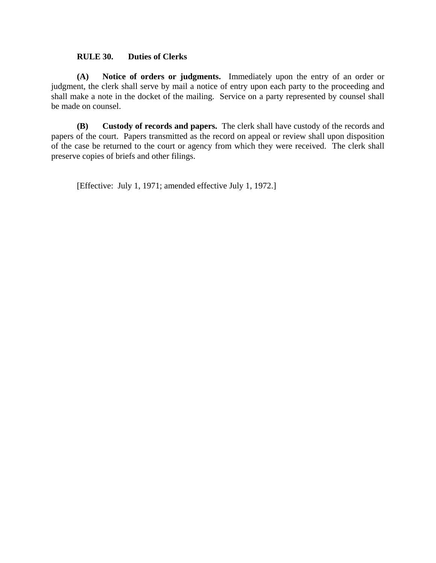# **RULE 30. Duties of Clerks**

**(A) Notice of orders or judgments.** Immediately upon the entry of an order or judgment, the clerk shall serve by mail a notice of entry upon each party to the proceeding and shall make a note in the docket of the mailing. Service on a party represented by counsel shall be made on counsel.

**(B) Custody of records and papers.** The clerk shall have custody of the records and papers of the court. Papers transmitted as the record on appeal or review shall upon disposition of the case be returned to the court or agency from which they were received. The clerk shall preserve copies of briefs and other filings.

[Effective: July 1, 1971; amended effective July 1, 1972.]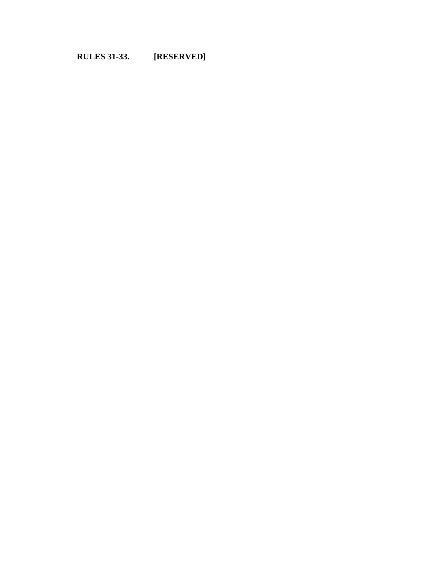# **RULES 31-33. [RESERVED]**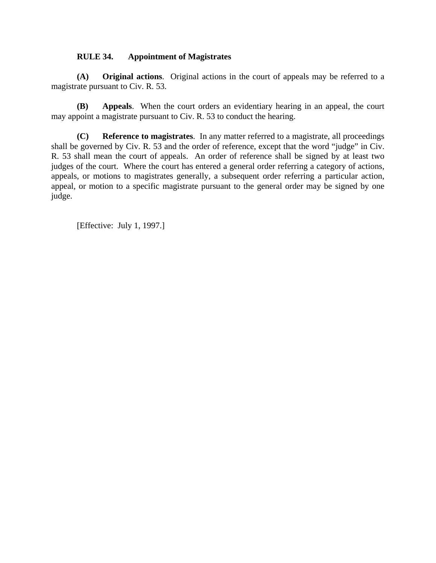# **RULE 34. Appointment of Magistrates**

**(A) Original actions**. Original actions in the court of appeals may be referred to a magistrate pursuant to Civ. R. 53.

**(B) Appeals**. When the court orders an evidentiary hearing in an appeal, the court may appoint a magistrate pursuant to Civ. R. 53 to conduct the hearing.

**(C) Reference to magistrates**. In any matter referred to a magistrate, all proceedings shall be governed by Civ. R. 53 and the order of reference, except that the word "judge" in Civ. R. 53 shall mean the court of appeals. An order of reference shall be signed by at least two judges of the court. Where the court has entered a general order referring a category of actions, appeals, or motions to magistrates generally, a subsequent order referring a particular action, appeal, or motion to a specific magistrate pursuant to the general order may be signed by one judge.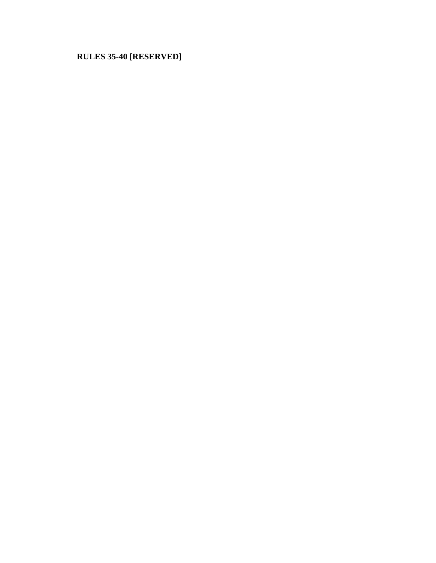# **RULES 35-40 [RESERVED]**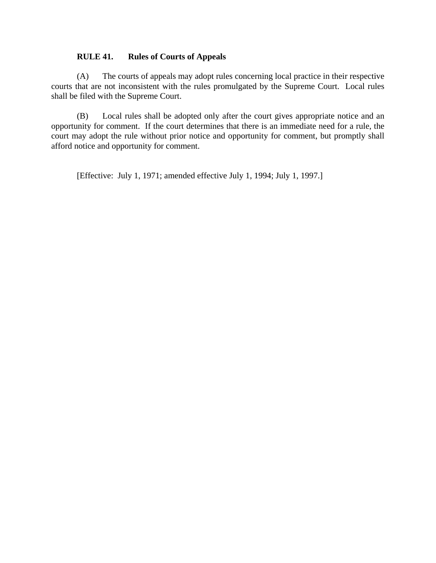# **RULE 41. Rules of Courts of Appeals**

(A) The courts of appeals may adopt rules concerning local practice in their respective courts that are not inconsistent with the rules promulgated by the Supreme Court. Local rules shall be filed with the Supreme Court.

(B) Local rules shall be adopted only after the court gives appropriate notice and an opportunity for comment. If the court determines that there is an immediate need for a rule, the court may adopt the rule without prior notice and opportunity for comment, but promptly shall afford notice and opportunity for comment.

[Effective: July 1, 1971; amended effective July 1, 1994; July 1, 1997.]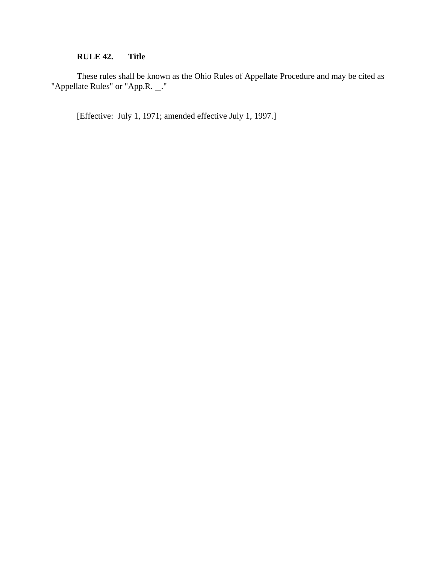# **RULE 42. Title**

These rules shall be known as the Ohio Rules of Appellate Procedure and may be cited as "Appellate Rules" or "App.R. ..."

[Effective: July 1, 1971; amended effective July 1, 1997.]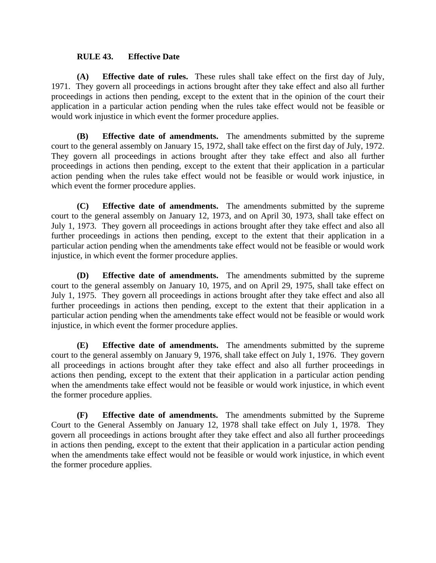# **RULE 43. Effective Date**

**(A) Effective date of rules.** These rules shall take effect on the first day of July, 1971. They govern all proceedings in actions brought after they take effect and also all further proceedings in actions then pending, except to the extent that in the opinion of the court their application in a particular action pending when the rules take effect would not be feasible or would work injustice in which event the former procedure applies.

**(B) Effective date of amendments.** The amendments submitted by the supreme court to the general assembly on January 15, 1972, shall take effect on the first day of July, 1972. They govern all proceedings in actions brought after they take effect and also all further proceedings in actions then pending, except to the extent that their application in a particular action pending when the rules take effect would not be feasible or would work injustice, in which event the former procedure applies.

**(C) Effective date of amendments.** The amendments submitted by the supreme court to the general assembly on January 12, 1973, and on April 30, 1973, shall take effect on July 1, 1973. They govern all proceedings in actions brought after they take effect and also all further proceedings in actions then pending, except to the extent that their application in a particular action pending when the amendments take effect would not be feasible or would work injustice, in which event the former procedure applies.

**(D) Effective date of amendments.** The amendments submitted by the supreme court to the general assembly on January 10, 1975, and on April 29, 1975, shall take effect on July 1, 1975. They govern all proceedings in actions brought after they take effect and also all further proceedings in actions then pending, except to the extent that their application in a particular action pending when the amendments take effect would not be feasible or would work injustice, in which event the former procedure applies.

**(E) Effective date of amendments.** The amendments submitted by the supreme court to the general assembly on January 9, 1976, shall take effect on July 1, 1976. They govern all proceedings in actions brought after they take effect and also all further proceedings in actions then pending, except to the extent that their application in a particular action pending when the amendments take effect would not be feasible or would work injustice, in which event the former procedure applies.

**(F) Effective date of amendments.** The amendments submitted by the Supreme Court to the General Assembly on January 12, 1978 shall take effect on July 1, 1978. They govern all proceedings in actions brought after they take effect and also all further proceedings in actions then pending, except to the extent that their application in a particular action pending when the amendments take effect would not be feasible or would work injustice, in which event the former procedure applies.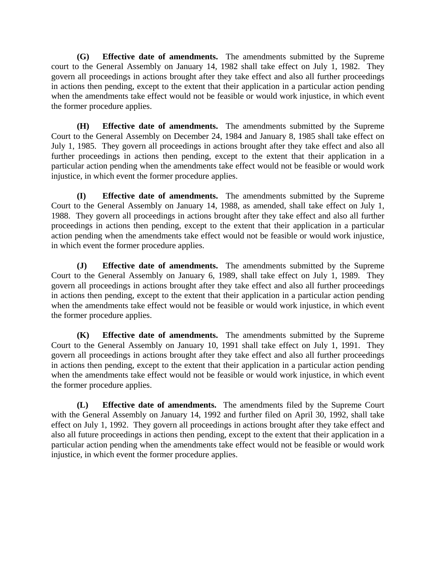**(G) Effective date of amendments.** The amendments submitted by the Supreme court to the General Assembly on January 14, 1982 shall take effect on July 1, 1982. They govern all proceedings in actions brought after they take effect and also all further proceedings in actions then pending, except to the extent that their application in a particular action pending when the amendments take effect would not be feasible or would work injustice, in which event the former procedure applies.

**(H) Effective date of amendments.** The amendments submitted by the Supreme Court to the General Assembly on December 24, 1984 and January 8, 1985 shall take effect on July 1, 1985. They govern all proceedings in actions brought after they take effect and also all further proceedings in actions then pending, except to the extent that their application in a particular action pending when the amendments take effect would not be feasible or would work injustice, in which event the former procedure applies.

**(I) Effective date of amendments.** The amendments submitted by the Supreme Court to the General Assembly on January 14, 1988, as amended, shall take effect on July 1, 1988. They govern all proceedings in actions brought after they take effect and also all further proceedings in actions then pending, except to the extent that their application in a particular action pending when the amendments take effect would not be feasible or would work injustice, in which event the former procedure applies.

**(J) Effective date of amendments.** The amendments submitted by the Supreme Court to the General Assembly on January 6, 1989, shall take effect on July 1, 1989. They govern all proceedings in actions brought after they take effect and also all further proceedings in actions then pending, except to the extent that their application in a particular action pending when the amendments take effect would not be feasible or would work injustice, in which event the former procedure applies.

**(K) Effective date of amendments.** The amendments submitted by the Supreme Court to the General Assembly on January 10, 1991 shall take effect on July 1, 1991. They govern all proceedings in actions brought after they take effect and also all further proceedings in actions then pending, except to the extent that their application in a particular action pending when the amendments take effect would not be feasible or would work injustice, in which event the former procedure applies.

**(L) Effective date of amendments.** The amendments filed by the Supreme Court with the General Assembly on January 14, 1992 and further filed on April 30, 1992, shall take effect on July 1, 1992. They govern all proceedings in actions brought after they take effect and also all future proceedings in actions then pending, except to the extent that their application in a particular action pending when the amendments take effect would not be feasible or would work injustice, in which event the former procedure applies.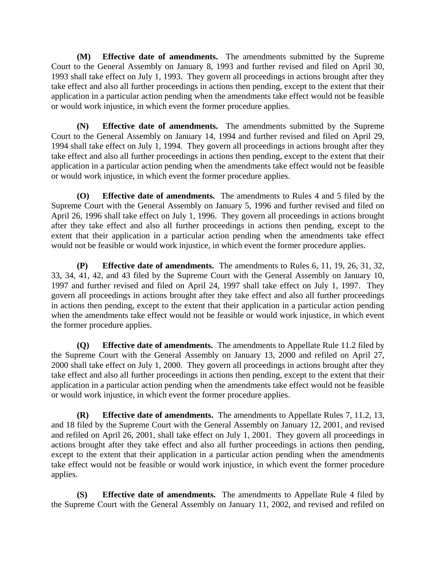**(M) Effective date of amendments.** The amendments submitted by the Supreme Court to the General Assembly on January 8, 1993 and further revised and filed on April 30, 1993 shall take effect on July 1, 1993. They govern all proceedings in actions brought after they take effect and also all further proceedings in actions then pending, except to the extent that their application in a particular action pending when the amendments take effect would not be feasible or would work injustice, in which event the former procedure applies.

**(N) Effective date of amendments.** The amendments submitted by the Supreme Court to the General Assembly on January 14, 1994 and further revised and filed on April 29, 1994 shall take effect on July 1, 1994. They govern all proceedings in actions brought after they take effect and also all further proceedings in actions then pending, except to the extent that their application in a particular action pending when the amendments take effect would not be feasible or would work injustice, in which event the former procedure applies.

**(O) Effective date of amendments.** The amendments to Rules 4 and 5 filed by the Supreme Court with the General Assembly on January 5, 1996 and further revised and filed on April 26, 1996 shall take effect on July 1, 1996. They govern all proceedings in actions brought after they take effect and also all further proceedings in actions then pending, except to the extent that their application in a particular action pending when the amendments take effect would not be feasible or would work injustice, in which event the former procedure applies.

**(P) Effective date of amendments.** The amendments to Rules 6, 11, 19, 26, 31, 32, 33, 34, 41, 42, and 43 filed by the Supreme Court with the General Assembly on January 10, 1997 and further revised and filed on April 24, 1997 shall take effect on July 1, 1997. They govern all proceedings in actions brought after they take effect and also all further proceedings in actions then pending, except to the extent that their application in a particular action pending when the amendments take effect would not be feasible or would work injustice, in which event the former procedure applies.

**(Q) Effective date of amendments.** The amendments to Appellate Rule 11.2 filed by the Supreme Court with the General Assembly on January 13, 2000 and refiled on April 27, 2000 shall take effect on July 1, 2000. They govern all proceedings in actions brought after they take effect and also all further proceedings in actions then pending, except to the extent that their application in a particular action pending when the amendments take effect would not be feasible or would work injustice, in which event the former procedure applies.

**(R) Effective date of amendments.** The amendments to Appellate Rules 7, 11.2, 13, and 18 filed by the Supreme Court with the General Assembly on January 12, 2001, and revised and refiled on April 26, 2001, shall take effect on July 1, 2001. They govern all proceedings in actions brought after they take effect and also all further proceedings in actions then pending, except to the extent that their application in a particular action pending when the amendments take effect would not be feasible or would work injustice, in which event the former procedure applies.

**(S) Effective date of amendments.** The amendments to Appellate Rule 4 filed by the Supreme Court with the General Assembly on January 11, 2002, and revised and refiled on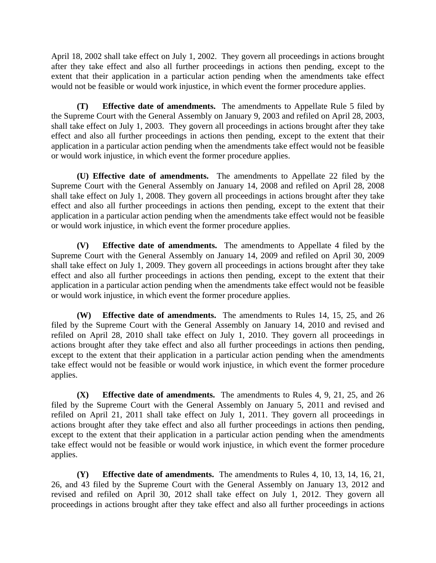April 18, 2002 shall take effect on July 1, 2002. They govern all proceedings in actions brought after they take effect and also all further proceedings in actions then pending, except to the extent that their application in a particular action pending when the amendments take effect would not be feasible or would work injustice, in which event the former procedure applies.

**(T) Effective date of amendments.** The amendments to Appellate Rule 5 filed by the Supreme Court with the General Assembly on January 9, 2003 and refiled on April 28, 2003, shall take effect on July 1, 2003. They govern all proceedings in actions brought after they take effect and also all further proceedings in actions then pending, except to the extent that their application in a particular action pending when the amendments take effect would not be feasible or would work injustice, in which event the former procedure applies.

**(U) Effective date of amendments.** The amendments to Appellate 22 filed by the Supreme Court with the General Assembly on January 14, 2008 and refiled on April 28, 2008 shall take effect on July 1, 2008. They govern all proceedings in actions brought after they take effect and also all further proceedings in actions then pending, except to the extent that their application in a particular action pending when the amendments take effect would not be feasible or would work injustice, in which event the former procedure applies.

**(V) Effective date of amendments.** The amendments to Appellate 4 filed by the Supreme Court with the General Assembly on January 14, 2009 and refiled on April 30, 2009 shall take effect on July 1, 2009. They govern all proceedings in actions brought after they take effect and also all further proceedings in actions then pending, except to the extent that their application in a particular action pending when the amendments take effect would not be feasible or would work injustice, in which event the former procedure applies.

**(W) Effective date of amendments.** The amendments to Rules 14, 15, 25, and 26 filed by the Supreme Court with the General Assembly on January 14, 2010 and revised and refiled on April 28, 2010 shall take effect on July 1, 2010. They govern all proceedings in actions brought after they take effect and also all further proceedings in actions then pending, except to the extent that their application in a particular action pending when the amendments take effect would not be feasible or would work injustice, in which event the former procedure applies.

**(X) Effective date of amendments.** The amendments to Rules 4, 9, 21, 25, and 26 filed by the Supreme Court with the General Assembly on January 5, 2011 and revised and refiled on April 21, 2011 shall take effect on July 1, 2011. They govern all proceedings in actions brought after they take effect and also all further proceedings in actions then pending, except to the extent that their application in a particular action pending when the amendments take effect would not be feasible or would work injustice, in which event the former procedure applies.

**(Y) Effective date of amendments.** The amendments to Rules 4, 10, 13, 14, 16, 21, 26, and 43 filed by the Supreme Court with the General Assembly on January 13, 2012 and revised and refiled on April 30, 2012 shall take effect on July 1, 2012. They govern all proceedings in actions brought after they take effect and also all further proceedings in actions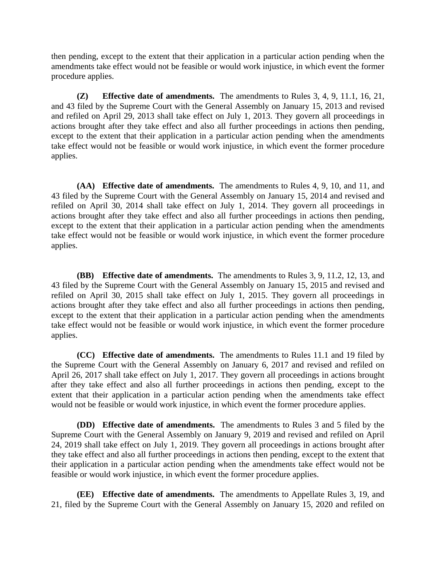then pending, except to the extent that their application in a particular action pending when the amendments take effect would not be feasible or would work injustice, in which event the former procedure applies.

**(Z) Effective date of amendments.** The amendments to Rules 3, 4, 9, 11.1, 16, 21, and 43 filed by the Supreme Court with the General Assembly on January 15, 2013 and revised and refiled on April 29, 2013 shall take effect on July 1, 2013. They govern all proceedings in actions brought after they take effect and also all further proceedings in actions then pending, except to the extent that their application in a particular action pending when the amendments take effect would not be feasible or would work injustice, in which event the former procedure applies.

**(AA) Effective date of amendments.** The amendments to Rules 4, 9, 10, and 11, and 43 filed by the Supreme Court with the General Assembly on January 15, 2014 and revised and refiled on April 30, 2014 shall take effect on July 1, 2014. They govern all proceedings in actions brought after they take effect and also all further proceedings in actions then pending, except to the extent that their application in a particular action pending when the amendments take effect would not be feasible or would work injustice, in which event the former procedure applies.

**(BB) Effective date of amendments.** The amendments to Rules 3, 9, 11.2, 12, 13, and 43 filed by the Supreme Court with the General Assembly on January 15, 2015 and revised and refiled on April 30, 2015 shall take effect on July 1, 2015. They govern all proceedings in actions brought after they take effect and also all further proceedings in actions then pending, except to the extent that their application in a particular action pending when the amendments take effect would not be feasible or would work injustice, in which event the former procedure applies.

**(CC) Effective date of amendments.** The amendments to Rules 11.1 and 19 filed by the Supreme Court with the General Assembly on January 6, 2017 and revised and refiled on April 26, 2017 shall take effect on July 1, 2017. They govern all proceedings in actions brought after they take effect and also all further proceedings in actions then pending, except to the extent that their application in a particular action pending when the amendments take effect would not be feasible or would work injustice, in which event the former procedure applies.

**(DD) Effective date of amendments.** The amendments to Rules 3 and 5 filed by the Supreme Court with the General Assembly on January 9, 2019 and revised and refiled on April 24, 2019 shall take effect on July 1, 2019. They govern all proceedings in actions brought after they take effect and also all further proceedings in actions then pending, except to the extent that their application in a particular action pending when the amendments take effect would not be feasible or would work injustice, in which event the former procedure applies.

**(EE) Effective date of amendments.** The amendments to Appellate Rules 3, 19, and 21, filed by the Supreme Court with the General Assembly on January 15, 2020 and refiled on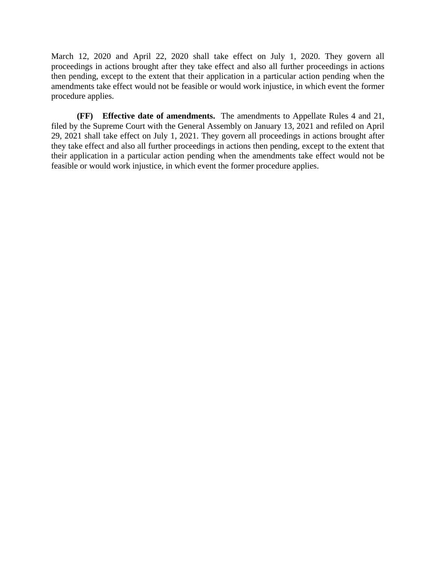March 12, 2020 and April 22, 2020 shall take effect on July 1, 2020. They govern all proceedings in actions brought after they take effect and also all further proceedings in actions then pending, except to the extent that their application in a particular action pending when the amendments take effect would not be feasible or would work injustice, in which event the former procedure applies.

**(FF) Effective date of amendments.** The amendments to Appellate Rules 4 and 21, filed by the Supreme Court with the General Assembly on January 13, 2021 and refiled on April 29, 2021 shall take effect on July 1, 2021. They govern all proceedings in actions brought after they take effect and also all further proceedings in actions then pending, except to the extent that their application in a particular action pending when the amendments take effect would not be feasible or would work injustice, in which event the former procedure applies.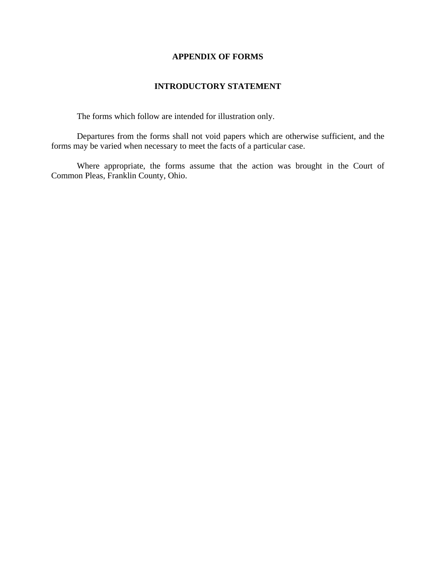## **APPENDIX OF FORMS**

#### **INTRODUCTORY STATEMENT**

The forms which follow are intended for illustration only.

Departures from the forms shall not void papers which are otherwise sufficient, and the forms may be varied when necessary to meet the facts of a particular case.

Where appropriate, the forms assume that the action was brought in the Court of Common Pleas, Franklin County, Ohio.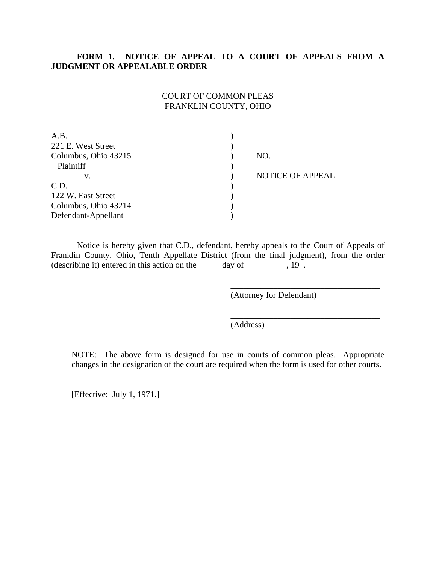# **FORM 1. NOTICE OF APPEAL TO A COURT OF APPEALS FROM A JUDGMENT OR APPEALABLE ORDER**

#### COURT OF COMMON PLEAS FRANKLIN COUNTY, OHIO

| A.B.                 |                  |
|----------------------|------------------|
| 221 E. West Street   |                  |
| Columbus, Ohio 43215 | NO.              |
| Plaintiff            |                  |
| v.                   | NOTICE OF APPEAL |
| C.D.                 |                  |
| 122 W. East Street   |                  |
| Columbus, Ohio 43214 |                  |
| Defendant-Appellant  |                  |

Notice is hereby given that C.D., defendant, hereby appeals to the Court of Appeals of Franklin County, Ohio, Tenth Appellate District (from the final judgment), from the order (describing it) entered in this action on the  $\_\_\_\_\_\_\$  day of  $\_\_\_\_\_\_\,,\ 19\_\_\_\_\_\$ 

(Attorney for Defendant)

\_\_\_\_\_\_\_\_\_\_\_\_\_\_\_\_\_\_\_\_\_\_\_\_\_\_\_\_\_\_\_\_\_\_\_

\_\_\_\_\_\_\_\_\_\_\_\_\_\_\_\_\_\_\_\_\_\_\_\_\_\_\_\_\_\_\_\_\_\_\_

(Address)

NOTE: The above form is designed for use in courts of common pleas. Appropriate changes in the designation of the court are required when the form is used for other courts.

[Effective: July 1, 1971.]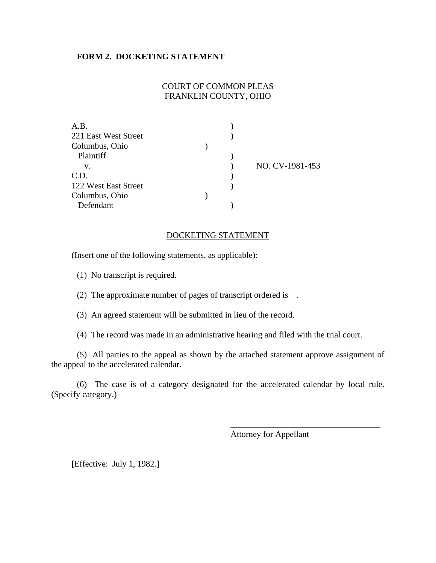### **FORM 2. DOCKETING STATEMENT**

## COURT OF COMMON PLEAS FRANKLIN COUNTY, OHIO

| A.B.                 |  |                 |
|----------------------|--|-----------------|
| 221 East West Street |  |                 |
| Columbus, Ohio       |  |                 |
| Plaintiff            |  |                 |
| v.                   |  | NO. CV-1981-453 |
| C.D.                 |  |                 |
| 122 West East Street |  |                 |
| Columbus, Ohio       |  |                 |
| Defendant            |  |                 |

#### DOCKETING STATEMENT

(Insert one of the following statements, as applicable):

(1) No transcript is required.

(2) The approximate number of pages of transcript ordered is  $\overline{\phantom{a}}$ .

(3) An agreed statement will be submitted in lieu of the record.

(4) The record was made in an administrative hearing and filed with the trial court.

(5) All parties to the appeal as shown by the attached statement approve assignment of the appeal to the accelerated calendar.

(6) The case is of a category designated for the accelerated calendar by local rule. (Specify category.)

Attorney for Appellant

\_\_\_\_\_\_\_\_\_\_\_\_\_\_\_\_\_\_\_\_\_\_\_\_\_\_\_\_\_\_\_\_\_\_\_

[Effective: July 1, 1982.]